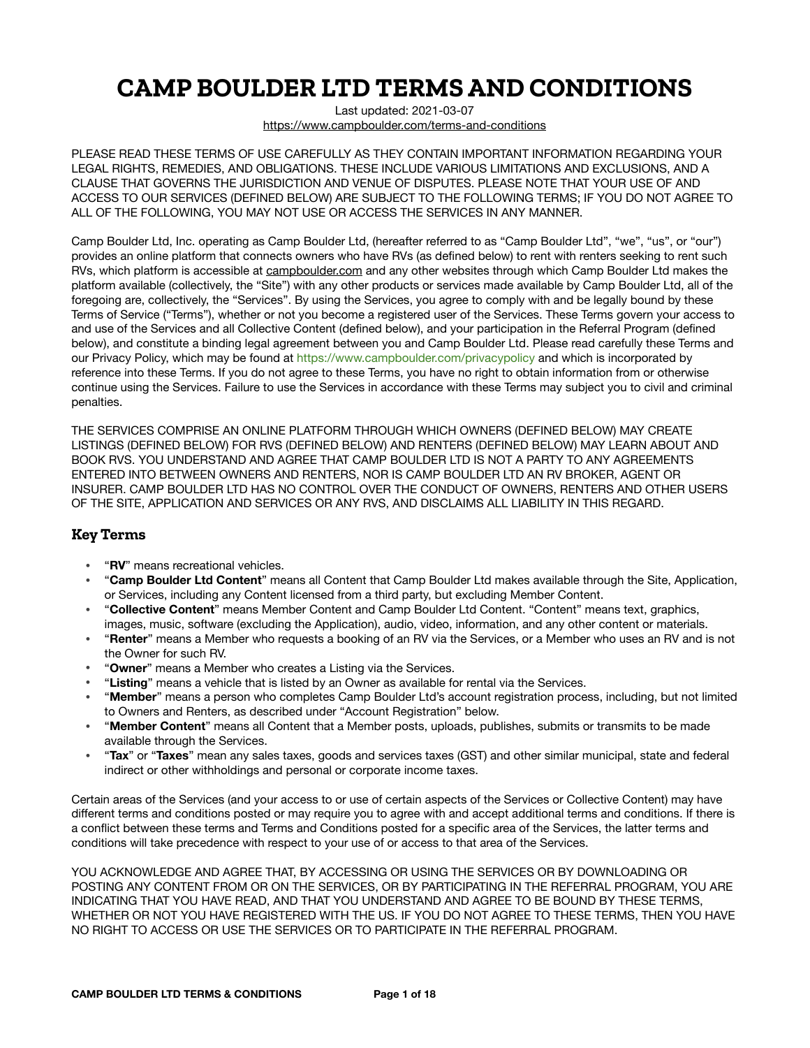# **CAMP BOULDER LTD TERMS AND CONDITIONS**

Last updated: 2021-03-07 <https://www.campboulder.com/terms-and-conditions>

PLEASE READ THESE TERMS OF USE CAREFULLY AS THEY CONTAIN IMPORTANT INFORMATION REGARDING YOUR LEGAL RIGHTS, REMEDIES, AND OBLIGATIONS. THESE INCLUDE VARIOUS LIMITATIONS AND EXCLUSIONS, AND A CLAUSE THAT GOVERNS THE JURISDICTION AND VENUE OF DISPUTES. PLEASE NOTE THAT YOUR USE OF AND ACCESS TO OUR SERVICES (DEFINED BELOW) ARE SUBJECT TO THE FOLLOWING TERMS; IF YOU DO NOT AGREE TO ALL OF THE FOLLOWING, YOU MAY NOT USE OR ACCESS THE SERVICES IN ANY MANNER.

Camp Boulder Ltd, Inc. operating as Camp Boulder Ltd, (hereafter referred to as "Camp Boulder Ltd", "we", "us", or "our") provides an online platform that connects owners who have RVs (as defined below) to rent with renters seeking to rent such RVs, which platform is accessible at [campboulder.com](http://campboulder.com) and any other websites through which Camp Boulder Ltd makes the platform available (collectively, the "Site") with any other products or services made available by Camp Boulder Ltd, all of the foregoing are, collectively, the "Services". By using the Services, you agree to comply with and be legally bound by these Terms of Service ("Terms"), whether or not you become a registered user of the Services. These Terms govern your access to and use of the Services and all Collective Content (defined below), and your participation in the Referral Program (defined below), and constitute a binding legal agreement between you and Camp Boulder Ltd. Please read carefully these Terms and our Privacy Policy, which may be found at [https://www.campboulder.com/privacypolicy](https://www.CampBoulder.com/privacypolicy) and which is incorporated by reference into these Terms. If you do not agree to these Terms, you have no right to obtain information from or otherwise continue using the Services. Failure to use the Services in accordance with these Terms may subject you to civil and criminal penalties.

THE SERVICES COMPRISE AN ONLINE PLATFORM THROUGH WHICH OWNERS (DEFINED BELOW) MAY CREATE LISTINGS (DEFINED BELOW) FOR RVS (DEFINED BELOW) AND RENTERS (DEFINED BELOW) MAY LEARN ABOUT AND BOOK RVS. YOU UNDERSTAND AND AGREE THAT CAMP BOULDER LTD IS NOT A PARTY TO ANY AGREEMENTS ENTERED INTO BETWEEN OWNERS AND RENTERS, NOR IS CAMP BOULDER LTD AN RV BROKER, AGENT OR INSURER. CAMP BOULDER LTD HAS NO CONTROL OVER THE CONDUCT OF OWNERS, RENTERS AND OTHER USERS OF THE SITE, APPLICATION AND SERVICES OR ANY RVS, AND DISCLAIMS ALL LIABILITY IN THIS REGARD.

# **Key Terms**

- "**RV**" means recreational vehicles.
- "**Camp Boulder Ltd Content**" means all Content that Camp Boulder Ltd makes available through the Site, Application, or Services, including any Content licensed from a third party, but excluding Member Content.
- "**Collective Content**" means Member Content and Camp Boulder Ltd Content. "Content" means text, graphics, images, music, software (excluding the Application), audio, video, information, and any other content or materials.
- "**Renter**" means a Member who requests a booking of an RV via the Services, or a Member who uses an RV and is not the Owner for such RV.
- "**Owner**" means a Member who creates a Listing via the Services.
- "**Listing**" means a vehicle that is listed by an Owner as available for rental via the Services.
- "**Member**" means a person who completes Camp Boulder Ltd's account registration process, including, but not limited to Owners and Renters, as described under "Account Registration" below.
- "**Member Content**" means all Content that a Member posts, uploads, publishes, submits or transmits to be made available through the Services.
- "**Tax**" or "**Taxes**" mean any sales taxes, goods and services taxes (GST) and other similar municipal, state and federal indirect or other withholdings and personal or corporate income taxes.

Certain areas of the Services (and your access to or use of certain aspects of the Services or Collective Content) may have different terms and conditions posted or may require you to agree with and accept additional terms and conditions. If there is a conflict between these terms and Terms and Conditions posted for a specific area of the Services, the latter terms and conditions will take precedence with respect to your use of or access to that area of the Services.

YOU ACKNOWLEDGE AND AGREE THAT, BY ACCESSING OR USING THE SERVICES OR BY DOWNLOADING OR POSTING ANY CONTENT FROM OR ON THE SERVICES, OR BY PARTICIPATING IN THE REFERRAL PROGRAM, YOU ARE INDICATING THAT YOU HAVE READ, AND THAT YOU UNDERSTAND AND AGREE TO BE BOUND BY THESE TERMS, WHETHER OR NOT YOU HAVE REGISTERED WITH THE US. IF YOU DO NOT AGREE TO THESE TERMS, THEN YOU HAVE NO RIGHT TO ACCESS OR USE THE SERVICES OR TO PARTICIPATE IN THE REFERRAL PROGRAM.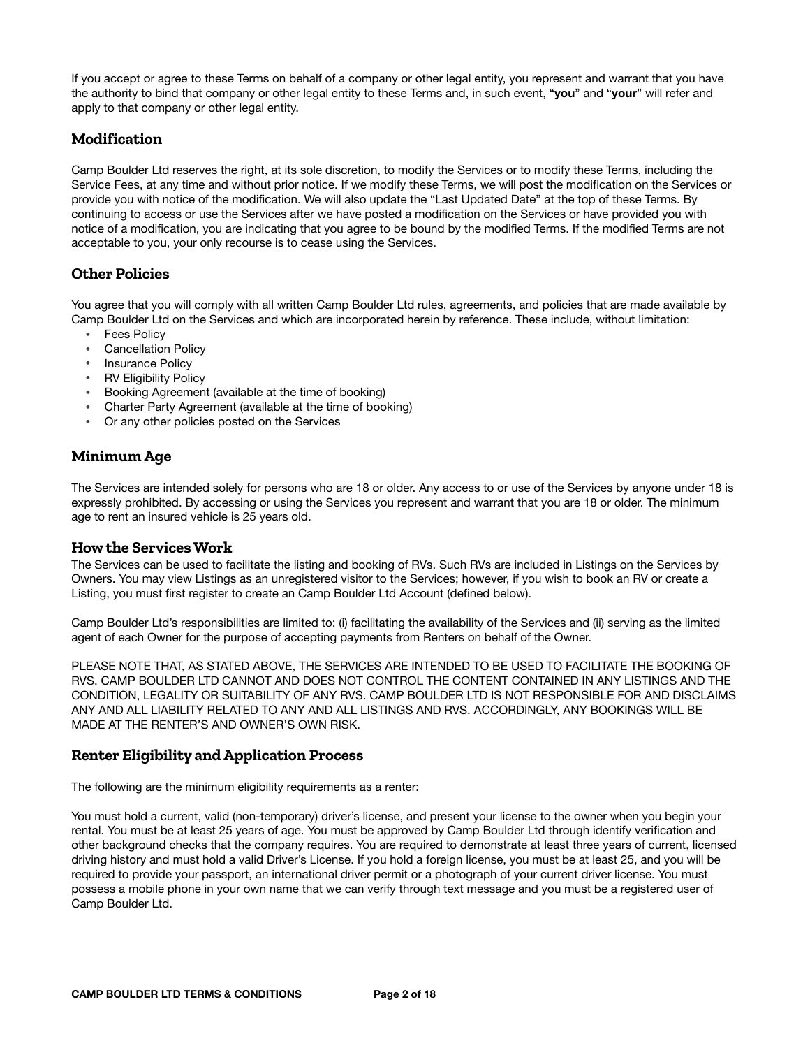If you accept or agree to these Terms on behalf of a company or other legal entity, you represent and warrant that you have the authority to bind that company or other legal entity to these Terms and, in such event, "**you**" and "**your**" will refer and apply to that company or other legal entity.

# **Modification**

Camp Boulder Ltd reserves the right, at its sole discretion, to modify the Services or to modify these Terms, including the Service Fees, at any time and without prior notice. If we modify these Terms, we will post the modification on the Services or provide you with notice of the modification. We will also update the "Last Updated Date" at the top of these Terms. By continuing to access or use the Services after we have posted a modification on the Services or have provided you with notice of a modification, you are indicating that you agree to be bound by the modified Terms. If the modified Terms are not acceptable to you, your only recourse is to cease using the Services.

# **Other Policies**

You agree that you will comply with all written Camp Boulder Ltd rules, agreements, and policies that are made available by Camp Boulder Ltd on the Services and which are incorporated herein by reference. These include, without limitation:

- Fees Policy
- Cancellation Policy
- Insurance Policy
- RV Eligibility Policy
- Booking Agreement (available at the time of booking)
- Charter Party Agreement (available at the time of booking)
- Or any other policies posted on the Services

# **Minimum Age**

The Services are intended solely for persons who are 18 or older. Any access to or use of the Services by anyone under 18 is expressly prohibited. By accessing or using the Services you represent and warrant that you are 18 or older. The minimum age to rent an insured vehicle is 25 years old.

#### **How the Services Work**

The Services can be used to facilitate the listing and booking of RVs. Such RVs are included in Listings on the Services by Owners. You may view Listings as an unregistered visitor to the Services; however, if you wish to book an RV or create a Listing, you must first register to create an Camp Boulder Ltd Account (defined below).

Camp Boulder Ltd's responsibilities are limited to: (i) facilitating the availability of the Services and (ii) serving as the limited agent of each Owner for the purpose of accepting payments from Renters on behalf of the Owner.

PLEASE NOTE THAT, AS STATED ABOVE, THE SERVICES ARE INTENDED TO BE USED TO FACILITATE THE BOOKING OF RVS. CAMP BOULDER LTD CANNOT AND DOES NOT CONTROL THE CONTENT CONTAINED IN ANY LISTINGS AND THE CONDITION, LEGALITY OR SUITABILITY OF ANY RVS. CAMP BOULDER LTD IS NOT RESPONSIBLE FOR AND DISCLAIMS ANY AND ALL LIABILITY RELATED TO ANY AND ALL LISTINGS AND RVS. ACCORDINGLY, ANY BOOKINGS WILL BE MADE AT THE RENTER'S AND OWNER'S OWN RISK.

## **Renter Eligibility and Application Process**

The following are the minimum eligibility requirements as a renter:

You must hold a current, valid (non-temporary) driver's license, and present your license to the owner when you begin your rental. You must be at least 25 years of age. You must be approved by Camp Boulder Ltd through identify verification and other background checks that the company requires. You are required to demonstrate at least three years of current, licensed driving history and must hold a valid Driver's License. If you hold a foreign license, you must be at least 25, and you will be required to provide your passport, an international driver permit or a photograph of your current driver license. You must possess a mobile phone in your own name that we can verify through text message and you must be a registered user of Camp Boulder Ltd.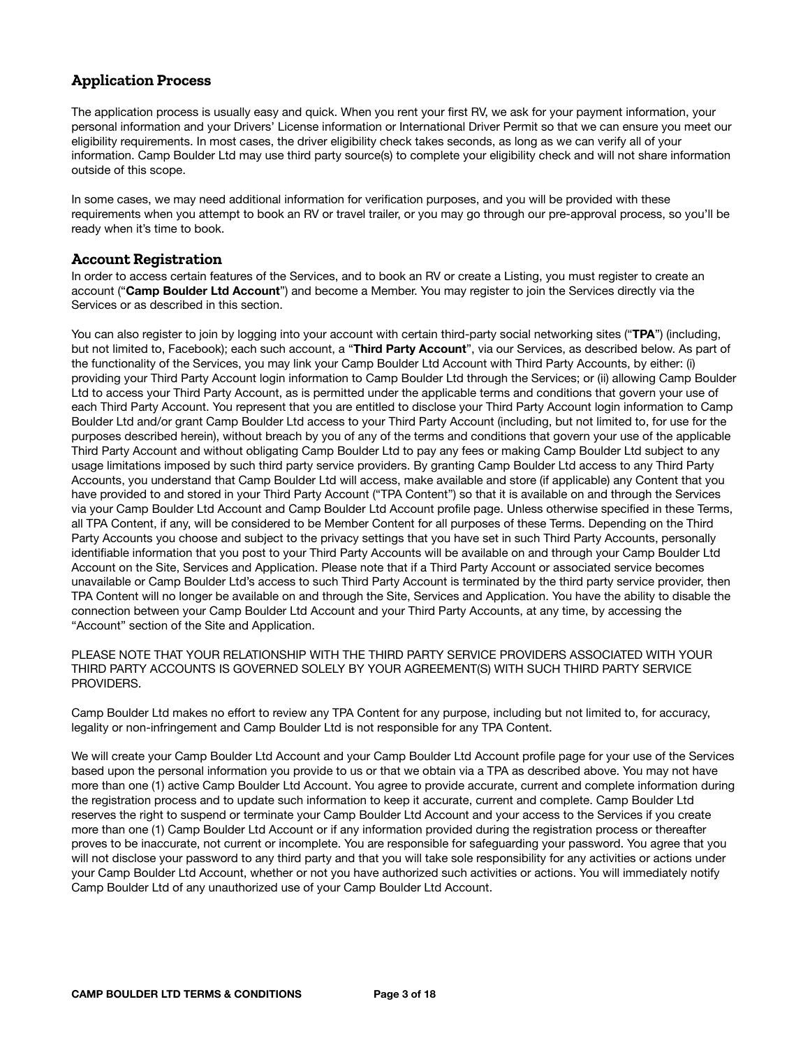# **Application Process**

The application process is usually easy and quick. When you rent your first RV, we ask for your payment information, your personal information and your Drivers' License information or International Driver Permit so that we can ensure you meet our eligibility requirements. In most cases, the driver eligibility check takes seconds, as long as we can verify all of your information. Camp Boulder Ltd may use third party source(s) to complete your eligibility check and will not share information outside of this scope.

In some cases, we may need additional information for verification purposes, and you will be provided with these requirements when you attempt to book an RV or travel trailer, or you may go through our pre-approval process, so you'll be ready when it's time to book.

#### **Account Registration**

In order to access certain features of the Services, and to book an RV or create a Listing, you must register to create an account ("**Camp Boulder Ltd Account**") and become a Member. You may register to join the Services directly via the Services or as described in this section.

You can also register to join by logging into your account with certain third-party social networking sites ("**TPA**") (including, but not limited to, Facebook); each such account, a "**Third Party Account**", via our Services, as described below. As part of the functionality of the Services, you may link your Camp Boulder Ltd Account with Third Party Accounts, by either: (i) providing your Third Party Account login information to Camp Boulder Ltd through the Services; or (ii) allowing Camp Boulder Ltd to access your Third Party Account, as is permitted under the applicable terms and conditions that govern your use of each Third Party Account. You represent that you are entitled to disclose your Third Party Account login information to Camp Boulder Ltd and/or grant Camp Boulder Ltd access to your Third Party Account (including, but not limited to, for use for the purposes described herein), without breach by you of any of the terms and conditions that govern your use of the applicable Third Party Account and without obligating Camp Boulder Ltd to pay any fees or making Camp Boulder Ltd subject to any usage limitations imposed by such third party service providers. By granting Camp Boulder Ltd access to any Third Party Accounts, you understand that Camp Boulder Ltd will access, make available and store (if applicable) any Content that you have provided to and stored in your Third Party Account ("TPA Content") so that it is available on and through the Services via your Camp Boulder Ltd Account and Camp Boulder Ltd Account profile page. Unless otherwise specified in these Terms, all TPA Content, if any, will be considered to be Member Content for all purposes of these Terms. Depending on the Third Party Accounts you choose and subject to the privacy settings that you have set in such Third Party Accounts, personally identifiable information that you post to your Third Party Accounts will be available on and through your Camp Boulder Ltd Account on the Site, Services and Application. Please note that if a Third Party Account or associated service becomes unavailable or Camp Boulder Ltd's access to such Third Party Account is terminated by the third party service provider, then TPA Content will no longer be available on and through the Site, Services and Application. You have the ability to disable the connection between your Camp Boulder Ltd Account and your Third Party Accounts, at any time, by accessing the "Account" section of the Site and Application.

PLEASE NOTE THAT YOUR RELATIONSHIP WITH THE THIRD PARTY SERVICE PROVIDERS ASSOCIATED WITH YOUR THIRD PARTY ACCOUNTS IS GOVERNED SOLELY BY YOUR AGREEMENT(S) WITH SUCH THIRD PARTY SERVICE PROVIDERS.

Camp Boulder Ltd makes no effort to review any TPA Content for any purpose, including but not limited to, for accuracy, legality or non-infringement and Camp Boulder Ltd is not responsible for any TPA Content.

We will create your Camp Boulder Ltd Account and your Camp Boulder Ltd Account profile page for your use of the Services based upon the personal information you provide to us or that we obtain via a TPA as described above. You may not have more than one (1) active Camp Boulder Ltd Account. You agree to provide accurate, current and complete information during the registration process and to update such information to keep it accurate, current and complete. Camp Boulder Ltd reserves the right to suspend or terminate your Camp Boulder Ltd Account and your access to the Services if you create more than one (1) Camp Boulder Ltd Account or if any information provided during the registration process or thereafter proves to be inaccurate, not current or incomplete. You are responsible for safeguarding your password. You agree that you will not disclose your password to any third party and that you will take sole responsibility for any activities or actions under your Camp Boulder Ltd Account, whether or not you have authorized such activities or actions. You will immediately notify Camp Boulder Ltd of any unauthorized use of your Camp Boulder Ltd Account.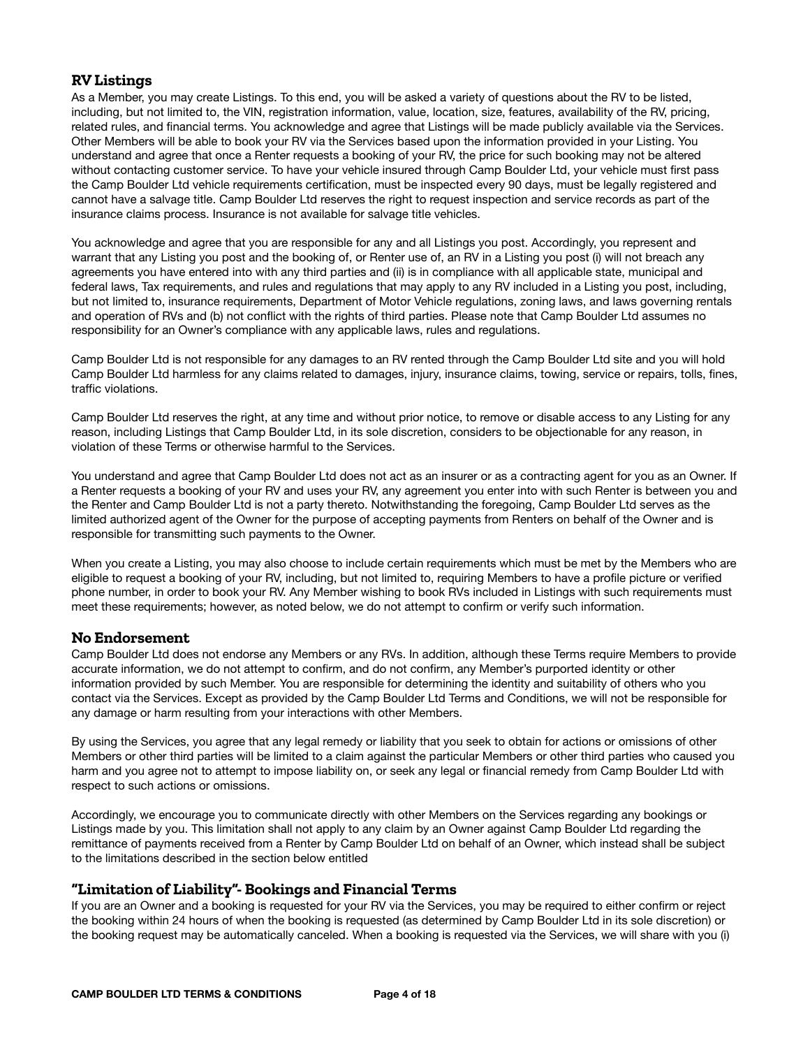#### **RV Listings**

As a Member, you may create Listings. To this end, you will be asked a variety of questions about the RV to be listed, including, but not limited to, the VIN, registration information, value, location, size, features, availability of the RV, pricing, related rules, and financial terms. You acknowledge and agree that Listings will be made publicly available via the Services. Other Members will be able to book your RV via the Services based upon the information provided in your Listing. You understand and agree that once a Renter requests a booking of your RV, the price for such booking may not be altered without contacting customer service. To have your vehicle insured through Camp Boulder Ltd, your vehicle must first pass the Camp Boulder Ltd vehicle requirements certification, must be inspected every 90 days, must be legally registered and cannot have a salvage title. Camp Boulder Ltd reserves the right to request inspection and service records as part of the insurance claims process. Insurance is not available for salvage title vehicles.

You acknowledge and agree that you are responsible for any and all Listings you post. Accordingly, you represent and warrant that any Listing you post and the booking of, or Renter use of, an RV in a Listing you post (i) will not breach any agreements you have entered into with any third parties and (ii) is in compliance with all applicable state, municipal and federal laws, Tax requirements, and rules and regulations that may apply to any RV included in a Listing you post, including, but not limited to, insurance requirements, Department of Motor Vehicle regulations, zoning laws, and laws governing rentals and operation of RVs and (b) not conflict with the rights of third parties. Please note that Camp Boulder Ltd assumes no responsibility for an Owner's compliance with any applicable laws, rules and regulations.

Camp Boulder Ltd is not responsible for any damages to an RV rented through the Camp Boulder Ltd site and you will hold Camp Boulder Ltd harmless for any claims related to damages, injury, insurance claims, towing, service or repairs, tolls, fines, traffic violations.

Camp Boulder Ltd reserves the right, at any time and without prior notice, to remove or disable access to any Listing for any reason, including Listings that Camp Boulder Ltd, in its sole discretion, considers to be objectionable for any reason, in violation of these Terms or otherwise harmful to the Services.

You understand and agree that Camp Boulder Ltd does not act as an insurer or as a contracting agent for you as an Owner. If a Renter requests a booking of your RV and uses your RV, any agreement you enter into with such Renter is between you and the Renter and Camp Boulder Ltd is not a party thereto. Notwithstanding the foregoing, Camp Boulder Ltd serves as the limited authorized agent of the Owner for the purpose of accepting payments from Renters on behalf of the Owner and is responsible for transmitting such payments to the Owner.

When you create a Listing, you may also choose to include certain requirements which must be met by the Members who are eligible to request a booking of your RV, including, but not limited to, requiring Members to have a profile picture or verified phone number, in order to book your RV. Any Member wishing to book RVs included in Listings with such requirements must meet these requirements; however, as noted below, we do not attempt to confirm or verify such information.

#### **No Endorsement**

Camp Boulder Ltd does not endorse any Members or any RVs. In addition, although these Terms require Members to provide accurate information, we do not attempt to confirm, and do not confirm, any Member's purported identity or other information provided by such Member. You are responsible for determining the identity and suitability of others who you contact via the Services. Except as provided by the Camp Boulder Ltd Terms and Conditions, we will not be responsible for any damage or harm resulting from your interactions with other Members.

By using the Services, you agree that any legal remedy or liability that you seek to obtain for actions or omissions of other Members or other third parties will be limited to a claim against the particular Members or other third parties who caused you harm and you agree not to attempt to impose liability on, or seek any legal or financial remedy from Camp Boulder Ltd with respect to such actions or omissions.

Accordingly, we encourage you to communicate directly with other Members on the Services regarding any bookings or Listings made by you. This limitation shall not apply to any claim by an Owner against Camp Boulder Ltd regarding the remittance of payments received from a Renter by Camp Boulder Ltd on behalf of an Owner, which instead shall be subject to the limitations described in the section below entitled

## **"Limitation of Liability"- Bookings and Financial Terms**

If you are an Owner and a booking is requested for your RV via the Services, you may be required to either confirm or reject the booking within 24 hours of when the booking is requested (as determined by Camp Boulder Ltd in its sole discretion) or the booking request may be automatically canceled. When a booking is requested via the Services, we will share with you (i)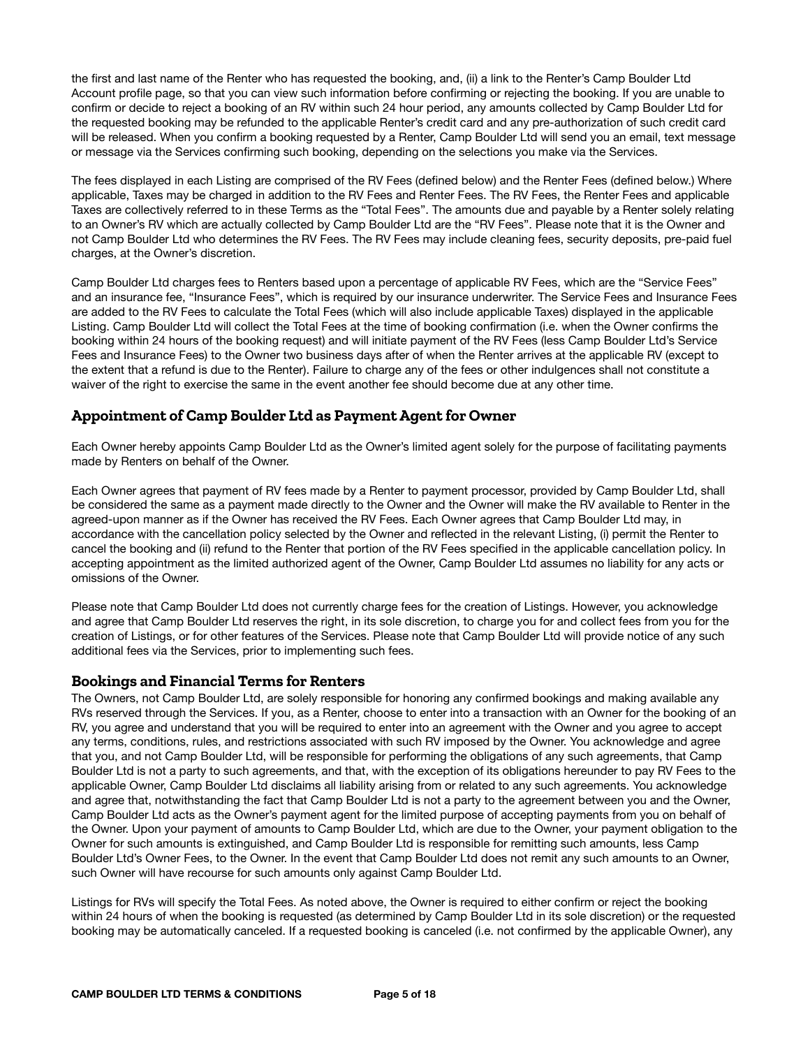the first and last name of the Renter who has requested the booking, and, (ii) a link to the Renter's Camp Boulder Ltd Account profile page, so that you can view such information before confirming or rejecting the booking. If you are unable to confirm or decide to reject a booking of an RV within such 24 hour period, any amounts collected by Camp Boulder Ltd for the requested booking may be refunded to the applicable Renter's credit card and any pre-authorization of such credit card will be released. When you confirm a booking requested by a Renter, Camp Boulder Ltd will send you an email, text message or message via the Services confirming such booking, depending on the selections you make via the Services.

The fees displayed in each Listing are comprised of the RV Fees (defined below) and the Renter Fees (defined below.) Where applicable, Taxes may be charged in addition to the RV Fees and Renter Fees. The RV Fees, the Renter Fees and applicable Taxes are collectively referred to in these Terms as the "Total Fees". The amounts due and payable by a Renter solely relating to an Owner's RV which are actually collected by Camp Boulder Ltd are the "RV Fees". Please note that it is the Owner and not Camp Boulder Ltd who determines the RV Fees. The RV Fees may include cleaning fees, security deposits, pre-paid fuel charges, at the Owner's discretion.

Camp Boulder Ltd charges fees to Renters based upon a percentage of applicable RV Fees, which are the "Service Fees" and an insurance fee, "Insurance Fees", which is required by our insurance underwriter. The Service Fees and Insurance Fees are added to the RV Fees to calculate the Total Fees (which will also include applicable Taxes) displayed in the applicable Listing. Camp Boulder Ltd will collect the Total Fees at the time of booking confirmation (i.e. when the Owner confirms the booking within 24 hours of the booking request) and will initiate payment of the RV Fees (less Camp Boulder Ltd's Service Fees and Insurance Fees) to the Owner two business days after of when the Renter arrives at the applicable RV (except to the extent that a refund is due to the Renter). Failure to charge any of the fees or other indulgences shall not constitute a waiver of the right to exercise the same in the event another fee should become due at any other time.

# **Appointment of Camp Boulder Ltd as Payment Agent for Owner**

Each Owner hereby appoints Camp Boulder Ltd as the Owner's limited agent solely for the purpose of facilitating payments made by Renters on behalf of the Owner.

Each Owner agrees that payment of RV fees made by a Renter to payment processor, provided by Camp Boulder Ltd, shall be considered the same as a payment made directly to the Owner and the Owner will make the RV available to Renter in the agreed-upon manner as if the Owner has received the RV Fees. Each Owner agrees that Camp Boulder Ltd may, in accordance with the cancellation policy selected by the Owner and reflected in the relevant Listing, (i) permit the Renter to cancel the booking and (ii) refund to the Renter that portion of the RV Fees specified in the applicable cancellation policy. In accepting appointment as the limited authorized agent of the Owner, Camp Boulder Ltd assumes no liability for any acts or omissions of the Owner.

Please note that Camp Boulder Ltd does not currently charge fees for the creation of Listings. However, you acknowledge and agree that Camp Boulder Ltd reserves the right, in its sole discretion, to charge you for and collect fees from you for the creation of Listings, or for other features of the Services. Please note that Camp Boulder Ltd will provide notice of any such additional fees via the Services, prior to implementing such fees.

#### **Bookings and Financial Terms for Renters**

The Owners, not Camp Boulder Ltd, are solely responsible for honoring any confirmed bookings and making available any RVs reserved through the Services. If you, as a Renter, choose to enter into a transaction with an Owner for the booking of an RV, you agree and understand that you will be required to enter into an agreement with the Owner and you agree to accept any terms, conditions, rules, and restrictions associated with such RV imposed by the Owner. You acknowledge and agree that you, and not Camp Boulder Ltd, will be responsible for performing the obligations of any such agreements, that Camp Boulder Ltd is not a party to such agreements, and that, with the exception of its obligations hereunder to pay RV Fees to the applicable Owner, Camp Boulder Ltd disclaims all liability arising from or related to any such agreements. You acknowledge and agree that, notwithstanding the fact that Camp Boulder Ltd is not a party to the agreement between you and the Owner, Camp Boulder Ltd acts as the Owner's payment agent for the limited purpose of accepting payments from you on behalf of the Owner. Upon your payment of amounts to Camp Boulder Ltd, which are due to the Owner, your payment obligation to the Owner for such amounts is extinguished, and Camp Boulder Ltd is responsible for remitting such amounts, less Camp Boulder Ltd's Owner Fees, to the Owner. In the event that Camp Boulder Ltd does not remit any such amounts to an Owner, such Owner will have recourse for such amounts only against Camp Boulder Ltd.

Listings for RVs will specify the Total Fees. As noted above, the Owner is required to either confirm or reject the booking within 24 hours of when the booking is requested (as determined by Camp Boulder Ltd in its sole discretion) or the requested booking may be automatically canceled. If a requested booking is canceled (i.e. not confirmed by the applicable Owner), any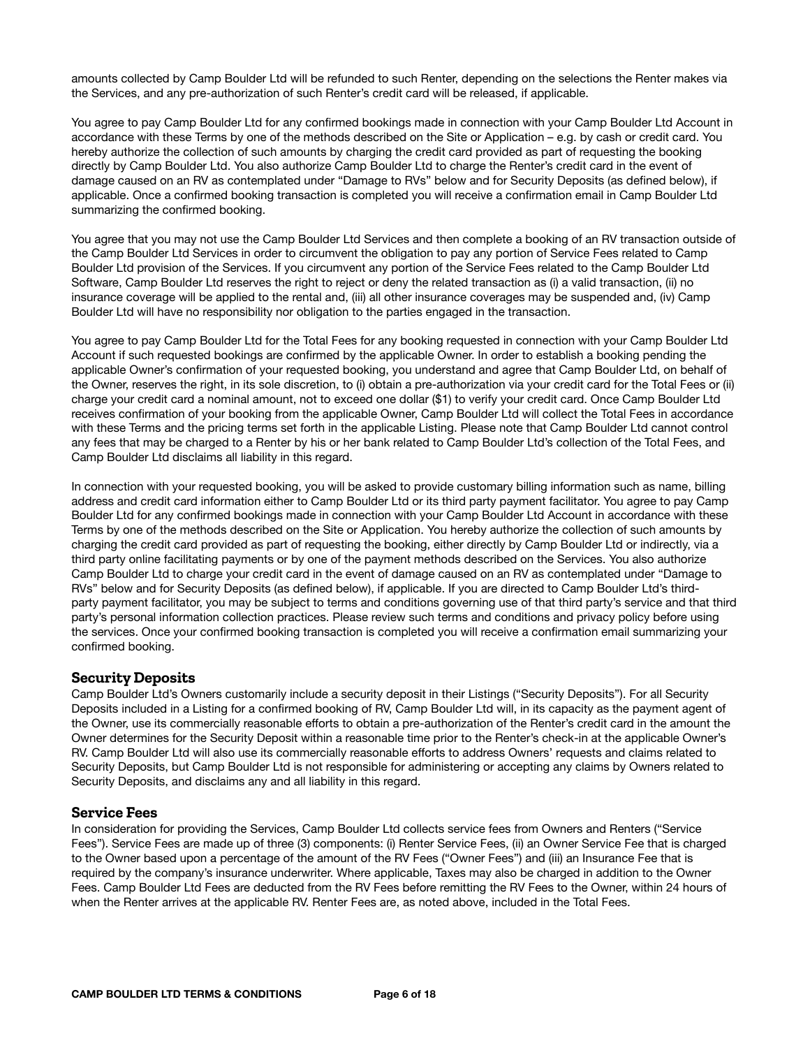amounts collected by Camp Boulder Ltd will be refunded to such Renter, depending on the selections the Renter makes via the Services, and any pre-authorization of such Renter's credit card will be released, if applicable.

You agree to pay Camp Boulder Ltd for any confirmed bookings made in connection with your Camp Boulder Ltd Account in accordance with these Terms by one of the methods described on the Site or Application – e.g. by cash or credit card. You hereby authorize the collection of such amounts by charging the credit card provided as part of requesting the booking directly by Camp Boulder Ltd. You also authorize Camp Boulder Ltd to charge the Renter's credit card in the event of damage caused on an RV as contemplated under "Damage to RVs" below and for Security Deposits (as defined below), if applicable. Once a confirmed booking transaction is completed you will receive a confirmation email in Camp Boulder Ltd summarizing the confirmed booking.

You agree that you may not use the Camp Boulder Ltd Services and then complete a booking of an RV transaction outside of the Camp Boulder Ltd Services in order to circumvent the obligation to pay any portion of Service Fees related to Camp Boulder Ltd provision of the Services. If you circumvent any portion of the Service Fees related to the Camp Boulder Ltd Software, Camp Boulder Ltd reserves the right to reject or deny the related transaction as (i) a valid transaction, (ii) no insurance coverage will be applied to the rental and, (iii) all other insurance coverages may be suspended and, (iv) Camp Boulder Ltd will have no responsibility nor obligation to the parties engaged in the transaction.

You agree to pay Camp Boulder Ltd for the Total Fees for any booking requested in connection with your Camp Boulder Ltd Account if such requested bookings are confirmed by the applicable Owner. In order to establish a booking pending the applicable Owner's confirmation of your requested booking, you understand and agree that Camp Boulder Ltd, on behalf of the Owner, reserves the right, in its sole discretion, to (i) obtain a pre-authorization via your credit card for the Total Fees or (ii) charge your credit card a nominal amount, not to exceed one dollar (\$1) to verify your credit card. Once Camp Boulder Ltd receives confirmation of your booking from the applicable Owner, Camp Boulder Ltd will collect the Total Fees in accordance with these Terms and the pricing terms set forth in the applicable Listing. Please note that Camp Boulder Ltd cannot control any fees that may be charged to a Renter by his or her bank related to Camp Boulder Ltd's collection of the Total Fees, and Camp Boulder Ltd disclaims all liability in this regard.

In connection with your requested booking, you will be asked to provide customary billing information such as name, billing address and credit card information either to Camp Boulder Ltd or its third party payment facilitator. You agree to pay Camp Boulder Ltd for any confirmed bookings made in connection with your Camp Boulder Ltd Account in accordance with these Terms by one of the methods described on the Site or Application. You hereby authorize the collection of such amounts by charging the credit card provided as part of requesting the booking, either directly by Camp Boulder Ltd or indirectly, via a third party online facilitating payments or by one of the payment methods described on the Services. You also authorize Camp Boulder Ltd to charge your credit card in the event of damage caused on an RV as contemplated under "Damage to RVs" below and for Security Deposits (as defined below), if applicable. If you are directed to Camp Boulder Ltd's thirdparty payment facilitator, you may be subject to terms and conditions governing use of that third party's service and that third party's personal information collection practices. Please review such terms and conditions and privacy policy before using the services. Once your confirmed booking transaction is completed you will receive a confirmation email summarizing your confirmed booking.

#### **Security Deposits**

Camp Boulder Ltd's Owners customarily include a security deposit in their Listings ("Security Deposits"). For all Security Deposits included in a Listing for a confirmed booking of RV, Camp Boulder Ltd will, in its capacity as the payment agent of the Owner, use its commercially reasonable efforts to obtain a pre-authorization of the Renter's credit card in the amount the Owner determines for the Security Deposit within a reasonable time prior to the Renter's check-in at the applicable Owner's RV. Camp Boulder Ltd will also use its commercially reasonable efforts to address Owners' requests and claims related to Security Deposits, but Camp Boulder Ltd is not responsible for administering or accepting any claims by Owners related to Security Deposits, and disclaims any and all liability in this regard.

#### **Service Fees**

In consideration for providing the Services, Camp Boulder Ltd collects service fees from Owners and Renters ("Service Fees"). Service Fees are made up of three (3) components: (i) Renter Service Fees, (ii) an Owner Service Fee that is charged to the Owner based upon a percentage of the amount of the RV Fees ("Owner Fees") and (iii) an Insurance Fee that is required by the company's insurance underwriter. Where applicable, Taxes may also be charged in addition to the Owner Fees. Camp Boulder Ltd Fees are deducted from the RV Fees before remitting the RV Fees to the Owner, within 24 hours of when the Renter arrives at the applicable RV. Renter Fees are, as noted above, included in the Total Fees.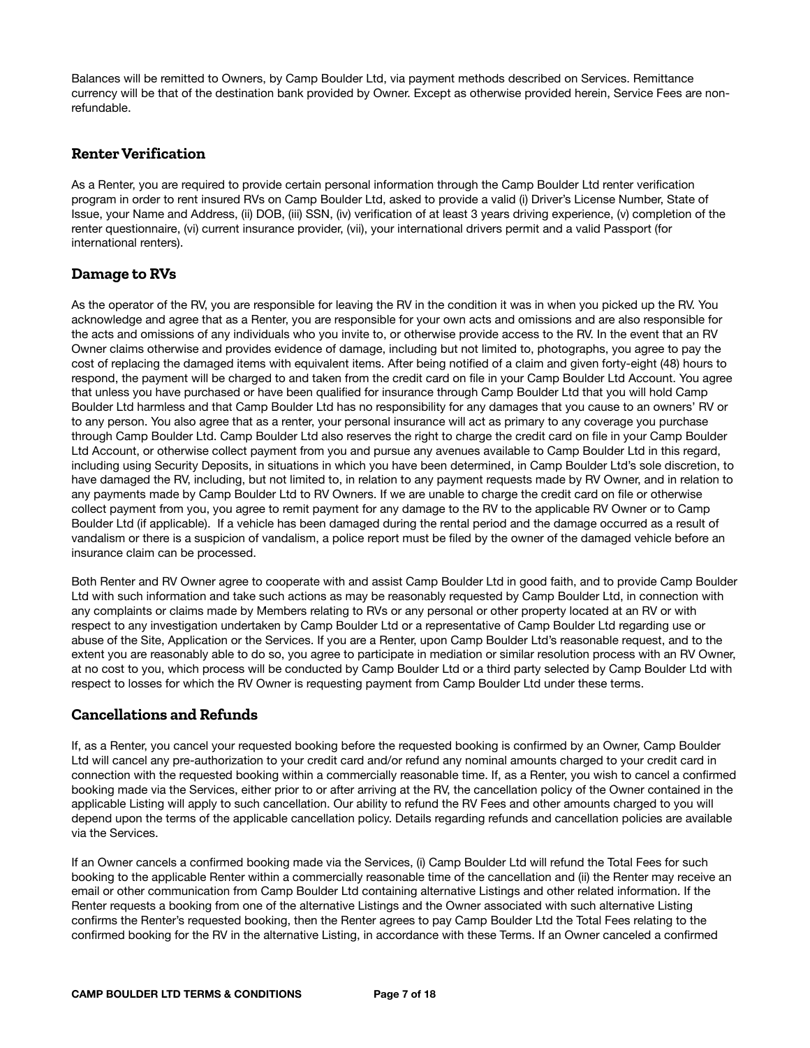Balances will be remitted to Owners, by Camp Boulder Ltd, via payment methods described on Services. Remittance currency will be that of the destination bank provided by Owner. Except as otherwise provided herein, Service Fees are nonrefundable.

# **Renter Verification**

As a Renter, you are required to provide certain personal information through the Camp Boulder Ltd renter verification program in order to rent insured RVs on Camp Boulder Ltd, asked to provide a valid (i) Driver's License Number, State of Issue, your Name and Address, (ii) DOB, (iii) SSN, (iv) verification of at least 3 years driving experience, (v) completion of the renter questionnaire, (vi) current insurance provider, (vii), your international drivers permit and a valid Passport (for international renters).

# **Damage to RVs**

As the operator of the RV, you are responsible for leaving the RV in the condition it was in when you picked up the RV. You acknowledge and agree that as a Renter, you are responsible for your own acts and omissions and are also responsible for the acts and omissions of any individuals who you invite to, or otherwise provide access to the RV. In the event that an RV Owner claims otherwise and provides evidence of damage, including but not limited to, photographs, you agree to pay the cost of replacing the damaged items with equivalent items. After being notified of a claim and given forty-eight (48) hours to respond, the payment will be charged to and taken from the credit card on file in your Camp Boulder Ltd Account. You agree that unless you have purchased or have been qualified for insurance through Camp Boulder Ltd that you will hold Camp Boulder Ltd harmless and that Camp Boulder Ltd has no responsibility for any damages that you cause to an owners' RV or to any person. You also agree that as a renter, your personal insurance will act as primary to any coverage you purchase through Camp Boulder Ltd. Camp Boulder Ltd also reserves the right to charge the credit card on file in your Camp Boulder Ltd Account, or otherwise collect payment from you and pursue any avenues available to Camp Boulder Ltd in this regard, including using Security Deposits, in situations in which you have been determined, in Camp Boulder Ltd's sole discretion, to have damaged the RV, including, but not limited to, in relation to any payment requests made by RV Owner, and in relation to any payments made by Camp Boulder Ltd to RV Owners. If we are unable to charge the credit card on file or otherwise collect payment from you, you agree to remit payment for any damage to the RV to the applicable RV Owner or to Camp Boulder Ltd (if applicable). If a vehicle has been damaged during the rental period and the damage occurred as a result of vandalism or there is a suspicion of vandalism, a police report must be filed by the owner of the damaged vehicle before an insurance claim can be processed.

Both Renter and RV Owner agree to cooperate with and assist Camp Boulder Ltd in good faith, and to provide Camp Boulder Ltd with such information and take such actions as may be reasonably requested by Camp Boulder Ltd, in connection with any complaints or claims made by Members relating to RVs or any personal or other property located at an RV or with respect to any investigation undertaken by Camp Boulder Ltd or a representative of Camp Boulder Ltd regarding use or abuse of the Site, Application or the Services. If you are a Renter, upon Camp Boulder Ltd's reasonable request, and to the extent you are reasonably able to do so, you agree to participate in mediation or similar resolution process with an RV Owner, at no cost to you, which process will be conducted by Camp Boulder Ltd or a third party selected by Camp Boulder Ltd with respect to losses for which the RV Owner is requesting payment from Camp Boulder Ltd under these terms.

## **Cancellations and Refunds**

If, as a Renter, you cancel your requested booking before the requested booking is confirmed by an Owner, Camp Boulder Ltd will cancel any pre-authorization to your credit card and/or refund any nominal amounts charged to your credit card in connection with the requested booking within a commercially reasonable time. If, as a Renter, you wish to cancel a confirmed booking made via the Services, either prior to or after arriving at the RV, the cancellation policy of the Owner contained in the applicable Listing will apply to such cancellation. Our ability to refund the RV Fees and other amounts charged to you will depend upon the terms of the applicable cancellation policy. Details regarding refunds and cancellation policies are available via the Services.

If an Owner cancels a confirmed booking made via the Services, (i) Camp Boulder Ltd will refund the Total Fees for such booking to the applicable Renter within a commercially reasonable time of the cancellation and (ii) the Renter may receive an email or other communication from Camp Boulder Ltd containing alternative Listings and other related information. If the Renter requests a booking from one of the alternative Listings and the Owner associated with such alternative Listing confirms the Renter's requested booking, then the Renter agrees to pay Camp Boulder Ltd the Total Fees relating to the confirmed booking for the RV in the alternative Listing, in accordance with these Terms. If an Owner canceled a confirmed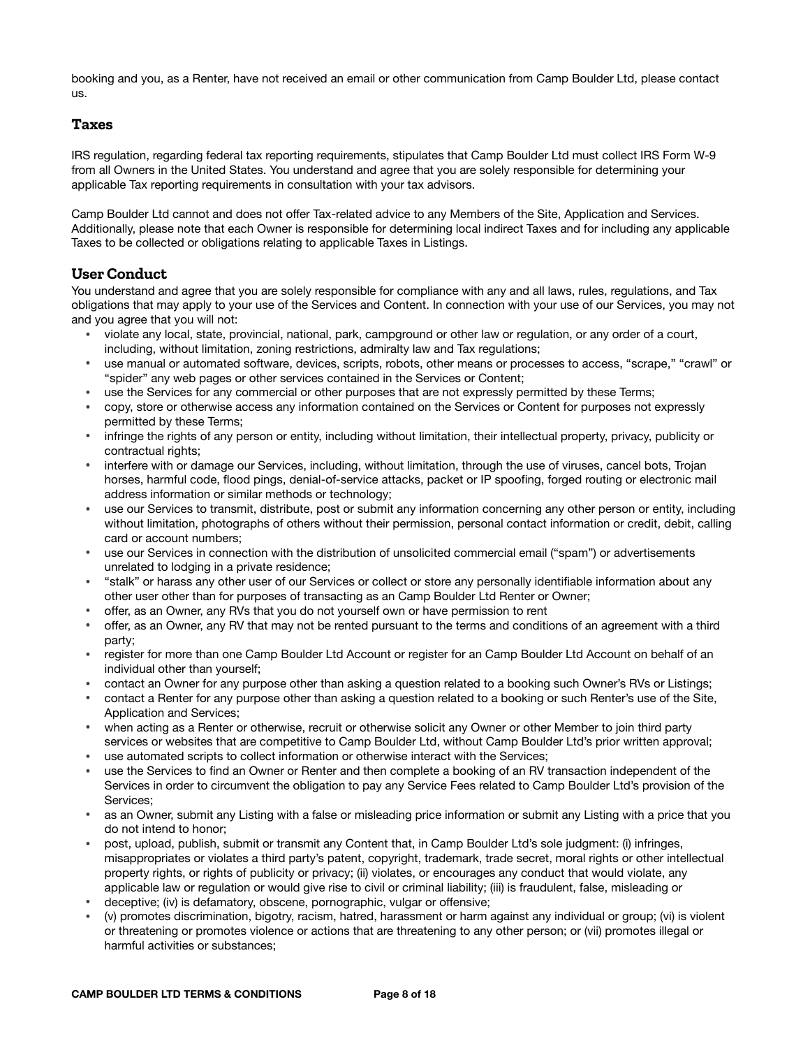booking and you, as a Renter, have not received an email or other communication from Camp Boulder Ltd, please contact us.

#### **Taxes**

IRS regulation, regarding federal tax reporting requirements, stipulates that Camp Boulder Ltd must collect IRS Form W-9 from all Owners in the United States. You understand and agree that you are solely responsible for determining your applicable Tax reporting requirements in consultation with your tax advisors.

Camp Boulder Ltd cannot and does not offer Tax-related advice to any Members of the Site, Application and Services. Additionally, please note that each Owner is responsible for determining local indirect Taxes and for including any applicable Taxes to be collected or obligations relating to applicable Taxes in Listings.

# **User Conduct**

You understand and agree that you are solely responsible for compliance with any and all laws, rules, regulations, and Tax obligations that may apply to your use of the Services and Content. In connection with your use of our Services, you may not and you agree that you will not:

- violate any local, state, provincial, national, park, campground or other law or regulation, or any order of a court, including, without limitation, zoning restrictions, admiralty law and Tax regulations;
- use manual or automated software, devices, scripts, robots, other means or processes to access, "scrape," "crawl" or "spider" any web pages or other services contained in the Services or Content;
- use the Services for any commercial or other purposes that are not expressly permitted by these Terms;
- copy, store or otherwise access any information contained on the Services or Content for purposes not expressly permitted by these Terms;
- infringe the rights of any person or entity, including without limitation, their intellectual property, privacy, publicity or contractual rights;
- interfere with or damage our Services, including, without limitation, through the use of viruses, cancel bots, Trojan horses, harmful code, flood pings, denial-of-service attacks, packet or IP spoofing, forged routing or electronic mail address information or similar methods or technology;
- use our Services to transmit, distribute, post or submit any information concerning any other person or entity, including without limitation, photographs of others without their permission, personal contact information or credit, debit, calling card or account numbers;
- use our Services in connection with the distribution of unsolicited commercial email ("spam") or advertisements unrelated to lodging in a private residence;
- "stalk" or harass any other user of our Services or collect or store any personally identifiable information about any other user other than for purposes of transacting as an Camp Boulder Ltd Renter or Owner;
- offer, as an Owner, any RVs that you do not yourself own or have permission to rent
- offer, as an Owner, any RV that may not be rented pursuant to the terms and conditions of an agreement with a third party;
- register for more than one Camp Boulder Ltd Account or register for an Camp Boulder Ltd Account on behalf of an individual other than yourself;
- contact an Owner for any purpose other than asking a question related to a booking such Owner's RVs or Listings;
- contact a Renter for any purpose other than asking a question related to a booking or such Renter's use of the Site, Application and Services;
- when acting as a Renter or otherwise, recruit or otherwise solicit any Owner or other Member to join third party services or websites that are competitive to Camp Boulder Ltd, without Camp Boulder Ltd's prior written approval;
- use automated scripts to collect information or otherwise interact with the Services;
- use the Services to find an Owner or Renter and then complete a booking of an RV transaction independent of the Services in order to circumvent the obligation to pay any Service Fees related to Camp Boulder Ltd's provision of the Services;
- as an Owner, submit any Listing with a false or misleading price information or submit any Listing with a price that you do not intend to honor;
- post, upload, publish, submit or transmit any Content that, in Camp Boulder Ltd's sole judgment: (i) infringes, misappropriates or violates a third party's patent, copyright, trademark, trade secret, moral rights or other intellectual property rights, or rights of publicity or privacy; (ii) violates, or encourages any conduct that would violate, any applicable law or regulation or would give rise to civil or criminal liability; (iii) is fraudulent, false, misleading or
- deceptive; (iv) is defamatory, obscene, pornographic, vulgar or offensive;
- (v) promotes discrimination, bigotry, racism, hatred, harassment or harm against any individual or group; (vi) is violent or threatening or promotes violence or actions that are threatening to any other person; or (vii) promotes illegal or harmful activities or substances;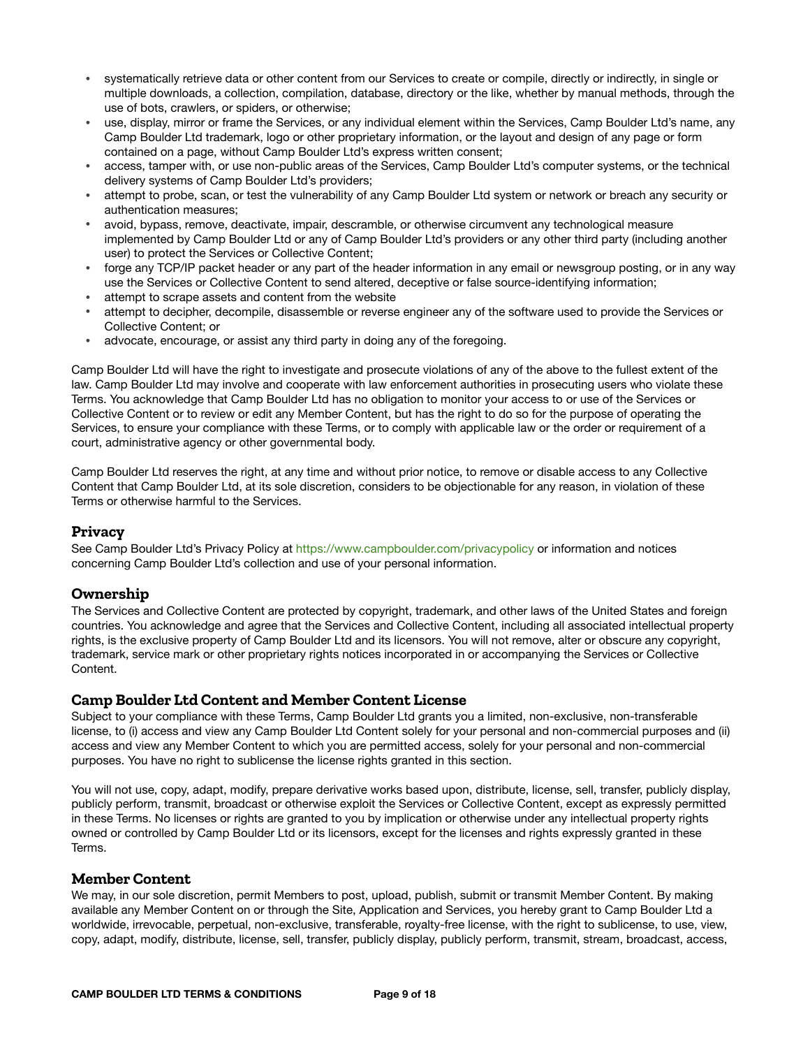- systematically retrieve data or other content from our Services to create or compile, directly or indirectly, in single or multiple downloads, a collection, compilation, database, directory or the like, whether by manual methods, through the use of bots, crawlers, or spiders, or otherwise;
- use, display, mirror or frame the Services, or any individual element within the Services, Camp Boulder Ltd's name, any Camp Boulder Ltd trademark, logo or other proprietary information, or the layout and design of any page or form contained on a page, without Camp Boulder Ltd's express written consent;
- access, tamper with, or use non-public areas of the Services, Camp Boulder Ltd's computer systems, or the technical delivery systems of Camp Boulder Ltd's providers;
- attempt to probe, scan, or test the vulnerability of any Camp Boulder Ltd system or network or breach any security or authentication measures;
- avoid, bypass, remove, deactivate, impair, descramble, or otherwise circumvent any technological measure implemented by Camp Boulder Ltd or any of Camp Boulder Ltd's providers or any other third party (including another user) to protect the Services or Collective Content;
- forge any TCP/IP packet header or any part of the header information in any email or newsgroup posting, or in any way use the Services or Collective Content to send altered, deceptive or false source-identifying information;
- attempt to scrape assets and content from the website
- attempt to decipher, decompile, disassemble or reverse engineer any of the software used to provide the Services or Collective Content; or
- advocate, encourage, or assist any third party in doing any of the foregoing.

Camp Boulder Ltd will have the right to investigate and prosecute violations of any of the above to the fullest extent of the law. Camp Boulder Ltd may involve and cooperate with law enforcement authorities in prosecuting users who violate these Terms. You acknowledge that Camp Boulder Ltd has no obligation to monitor your access to or use of the Services or Collective Content or to review or edit any Member Content, but has the right to do so for the purpose of operating the Services, to ensure your compliance with these Terms, or to comply with applicable law or the order or requirement of a court, administrative agency or other governmental body.

Camp Boulder Ltd reserves the right, at any time and without prior notice, to remove or disable access to any Collective Content that Camp Boulder Ltd, at its sole discretion, considers to be objectionable for any reason, in violation of these Terms or otherwise harmful to the Services.

#### **Privacy**

See Camp Boulder Ltd's Privacy Policy at <https://www.campboulder.com/privacypolicy> or information and notices concerning Camp Boulder Ltd's collection and use of your personal information.

#### **Ownership**

The Services and Collective Content are protected by copyright, trademark, and other laws of the United States and foreign countries. You acknowledge and agree that the Services and Collective Content, including all associated intellectual property rights, is the exclusive property of Camp Boulder Ltd and its licensors. You will not remove, alter or obscure any copyright, trademark, service mark or other proprietary rights notices incorporated in or accompanying the Services or Collective **Content** 

#### **Camp Boulder Ltd Content and Member Content License**

Subject to your compliance with these Terms, Camp Boulder Ltd grants you a limited, non-exclusive, non-transferable license, to (i) access and view any Camp Boulder Ltd Content solely for your personal and non-commercial purposes and (ii) access and view any Member Content to which you are permitted access, solely for your personal and non-commercial purposes. You have no right to sublicense the license rights granted in this section.

You will not use, copy, adapt, modify, prepare derivative works based upon, distribute, license, sell, transfer, publicly display, publicly perform, transmit, broadcast or otherwise exploit the Services or Collective Content, except as expressly permitted in these Terms. No licenses or rights are granted to you by implication or otherwise under any intellectual property rights owned or controlled by Camp Boulder Ltd or its licensors, except for the licenses and rights expressly granted in these Terms.

#### **Member Content**

We may, in our sole discretion, permit Members to post, upload, publish, submit or transmit Member Content. By making available any Member Content on or through the Site, Application and Services, you hereby grant to Camp Boulder Ltd a worldwide, irrevocable, perpetual, non-exclusive, transferable, royalty-free license, with the right to sublicense, to use, view, copy, adapt, modify, distribute, license, sell, transfer, publicly display, publicly perform, transmit, stream, broadcast, access,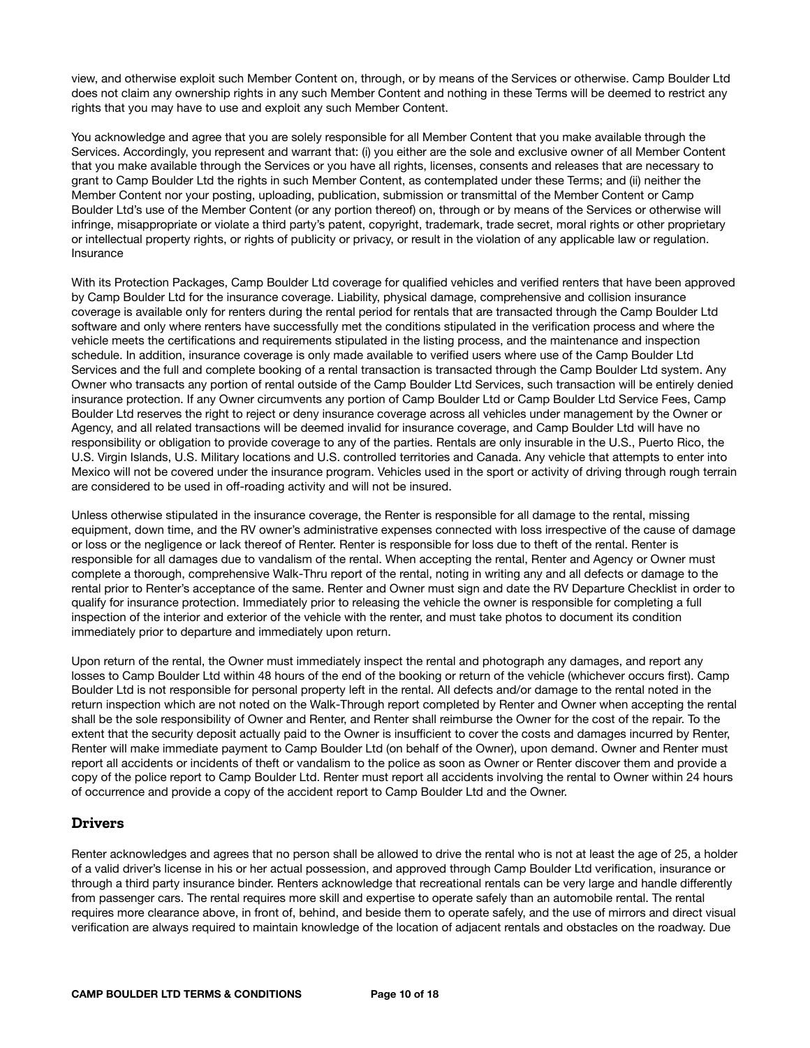view, and otherwise exploit such Member Content on, through, or by means of the Services or otherwise. Camp Boulder Ltd does not claim any ownership rights in any such Member Content and nothing in these Terms will be deemed to restrict any rights that you may have to use and exploit any such Member Content.

You acknowledge and agree that you are solely responsible for all Member Content that you make available through the Services. Accordingly, you represent and warrant that: (i) you either are the sole and exclusive owner of all Member Content that you make available through the Services or you have all rights, licenses, consents and releases that are necessary to grant to Camp Boulder Ltd the rights in such Member Content, as contemplated under these Terms; and (ii) neither the Member Content nor your posting, uploading, publication, submission or transmittal of the Member Content or Camp Boulder Ltd's use of the Member Content (or any portion thereof) on, through or by means of the Services or otherwise will infringe, misappropriate or violate a third party's patent, copyright, trademark, trade secret, moral rights or other proprietary or intellectual property rights, or rights of publicity or privacy, or result in the violation of any applicable law or regulation. Insurance

With its Protection Packages, Camp Boulder Ltd coverage for qualified vehicles and verified renters that have been approved by Camp Boulder Ltd for the insurance coverage. Liability, physical damage, comprehensive and collision insurance coverage is available only for renters during the rental period for rentals that are transacted through the Camp Boulder Ltd software and only where renters have successfully met the conditions stipulated in the verification process and where the vehicle meets the certifications and requirements stipulated in the listing process, and the maintenance and inspection schedule. In addition, insurance coverage is only made available to verified users where use of the Camp Boulder Ltd Services and the full and complete booking of a rental transaction is transacted through the Camp Boulder Ltd system. Any Owner who transacts any portion of rental outside of the Camp Boulder Ltd Services, such transaction will be entirely denied insurance protection. If any Owner circumvents any portion of Camp Boulder Ltd or Camp Boulder Ltd Service Fees, Camp Boulder Ltd reserves the right to reject or deny insurance coverage across all vehicles under management by the Owner or Agency, and all related transactions will be deemed invalid for insurance coverage, and Camp Boulder Ltd will have no responsibility or obligation to provide coverage to any of the parties. Rentals are only insurable in the U.S., Puerto Rico, the U.S. Virgin Islands, U.S. Military locations and U.S. controlled territories and Canada. Any vehicle that attempts to enter into Mexico will not be covered under the insurance program. Vehicles used in the sport or activity of driving through rough terrain are considered to be used in off-roading activity and will not be insured.

Unless otherwise stipulated in the insurance coverage, the Renter is responsible for all damage to the rental, missing equipment, down time, and the RV owner's administrative expenses connected with loss irrespective of the cause of damage or loss or the negligence or lack thereof of Renter. Renter is responsible for loss due to theft of the rental. Renter is responsible for all damages due to vandalism of the rental. When accepting the rental, Renter and Agency or Owner must complete a thorough, comprehensive Walk-Thru report of the rental, noting in writing any and all defects or damage to the rental prior to Renter's acceptance of the same. Renter and Owner must sign and date the RV Departure Checklist in order to qualify for insurance protection. Immediately prior to releasing the vehicle the owner is responsible for completing a full inspection of the interior and exterior of the vehicle with the renter, and must take photos to document its condition immediately prior to departure and immediately upon return.

Upon return of the rental, the Owner must immediately inspect the rental and photograph any damages, and report any losses to Camp Boulder Ltd within 48 hours of the end of the booking or return of the vehicle (whichever occurs first). Camp Boulder Ltd is not responsible for personal property left in the rental. All defects and/or damage to the rental noted in the return inspection which are not noted on the Walk-Through report completed by Renter and Owner when accepting the rental shall be the sole responsibility of Owner and Renter, and Renter shall reimburse the Owner for the cost of the repair. To the extent that the security deposit actually paid to the Owner is insufficient to cover the costs and damages incurred by Renter, Renter will make immediate payment to Camp Boulder Ltd (on behalf of the Owner), upon demand. Owner and Renter must report all accidents or incidents of theft or vandalism to the police as soon as Owner or Renter discover them and provide a copy of the police report to Camp Boulder Ltd. Renter must report all accidents involving the rental to Owner within 24 hours of occurrence and provide a copy of the accident report to Camp Boulder Ltd and the Owner.

## **Drivers**

Renter acknowledges and agrees that no person shall be allowed to drive the rental who is not at least the age of 25, a holder of a valid driver's license in his or her actual possession, and approved through Camp Boulder Ltd verification, insurance or through a third party insurance binder. Renters acknowledge that recreational rentals can be very large and handle differently from passenger cars. The rental requires more skill and expertise to operate safely than an automobile rental. The rental requires more clearance above, in front of, behind, and beside them to operate safely, and the use of mirrors and direct visual verification are always required to maintain knowledge of the location of adjacent rentals and obstacles on the roadway. Due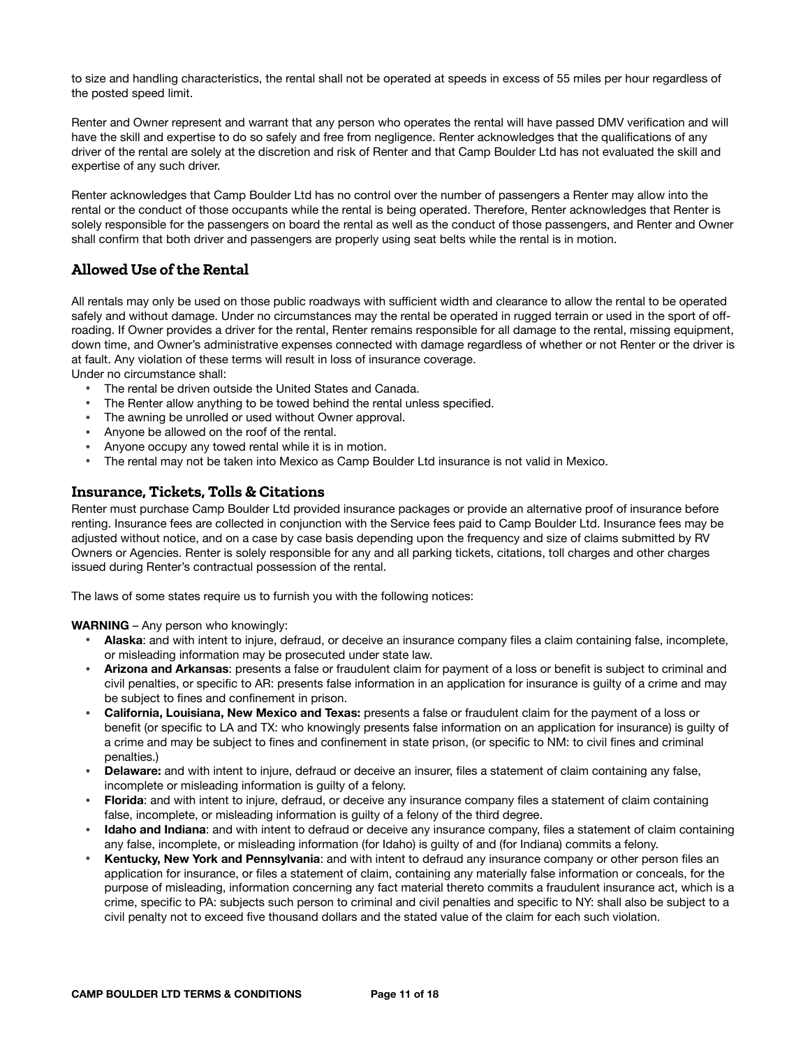to size and handling characteristics, the rental shall not be operated at speeds in excess of 55 miles per hour regardless of the posted speed limit.

Renter and Owner represent and warrant that any person who operates the rental will have passed DMV verification and will have the skill and expertise to do so safely and free from negligence. Renter acknowledges that the qualifications of any driver of the rental are solely at the discretion and risk of Renter and that Camp Boulder Ltd has not evaluated the skill and expertise of any such driver.

Renter acknowledges that Camp Boulder Ltd has no control over the number of passengers a Renter may allow into the rental or the conduct of those occupants while the rental is being operated. Therefore, Renter acknowledges that Renter is solely responsible for the passengers on board the rental as well as the conduct of those passengers, and Renter and Owner shall confirm that both driver and passengers are properly using seat belts while the rental is in motion.

# **Allowed Use of the Rental**

All rentals may only be used on those public roadways with sufficient width and clearance to allow the rental to be operated safely and without damage. Under no circumstances may the rental be operated in rugged terrain or used in the sport of offroading. If Owner provides a driver for the rental, Renter remains responsible for all damage to the rental, missing equipment, down time, and Owner's administrative expenses connected with damage regardless of whether or not Renter or the driver is at fault. Any violation of these terms will result in loss of insurance coverage.

Under no circumstance shall:

- The rental be driven outside the United States and Canada.
- The Renter allow anything to be towed behind the rental unless specified.
- The awning be unrolled or used without Owner approval.
- Anyone be allowed on the roof of the rental.
- Anyone occupy any towed rental while it is in motion.
- The rental may not be taken into Mexico as Camp Boulder Ltd insurance is not valid in Mexico.

## **Insurance, Tickets, Tolls & Citations**

Renter must purchase Camp Boulder Ltd provided insurance packages or provide an alternative proof of insurance before renting. Insurance fees are collected in conjunction with the Service fees paid to Camp Boulder Ltd. Insurance fees may be adjusted without notice, and on a case by case basis depending upon the frequency and size of claims submitted by RV Owners or Agencies. Renter is solely responsible for any and all parking tickets, citations, toll charges and other charges issued during Renter's contractual possession of the rental.

The laws of some states require us to furnish you with the following notices:

**WARNING** – Any person who knowingly:

- **Alaska**: and with intent to injure, defraud, or deceive an insurance company files a claim containing false, incomplete, or misleading information may be prosecuted under state law.
- **Arizona and Arkansas**: presents a false or fraudulent claim for payment of a loss or benefit is subject to criminal and civil penalties, or specific to AR: presents false information in an application for insurance is guilty of a crime and may be subject to fines and confinement in prison.
- **California, Louisiana, New Mexico and Texas:** presents a false or fraudulent claim for the payment of a loss or benefit (or specific to LA and TX: who knowingly presents false information on an application for insurance) is guilty of a crime and may be subject to fines and confinement in state prison, (or specific to NM: to civil fines and criminal penalties.)
- **Delaware:** and with intent to injure, defraud or deceive an insurer, files a statement of claim containing any false, incomplete or misleading information is guilty of a felony.
- **Florida**: and with intent to injure, defraud, or deceive any insurance company files a statement of claim containing false, incomplete, or misleading information is guilty of a felony of the third degree.
- **Idaho and Indiana**: and with intent to defraud or deceive any insurance company, files a statement of claim containing any false, incomplete, or misleading information (for Idaho) is guilty of and (for Indiana) commits a felony.
- **Kentucky, New York and Pennsylvania**: and with intent to defraud any insurance company or other person files an application for insurance, or files a statement of claim, containing any materially false information or conceals, for the purpose of misleading, information concerning any fact material thereto commits a fraudulent insurance act, which is a crime, specific to PA: subjects such person to criminal and civil penalties and specific to NY: shall also be subject to a civil penalty not to exceed five thousand dollars and the stated value of the claim for each such violation.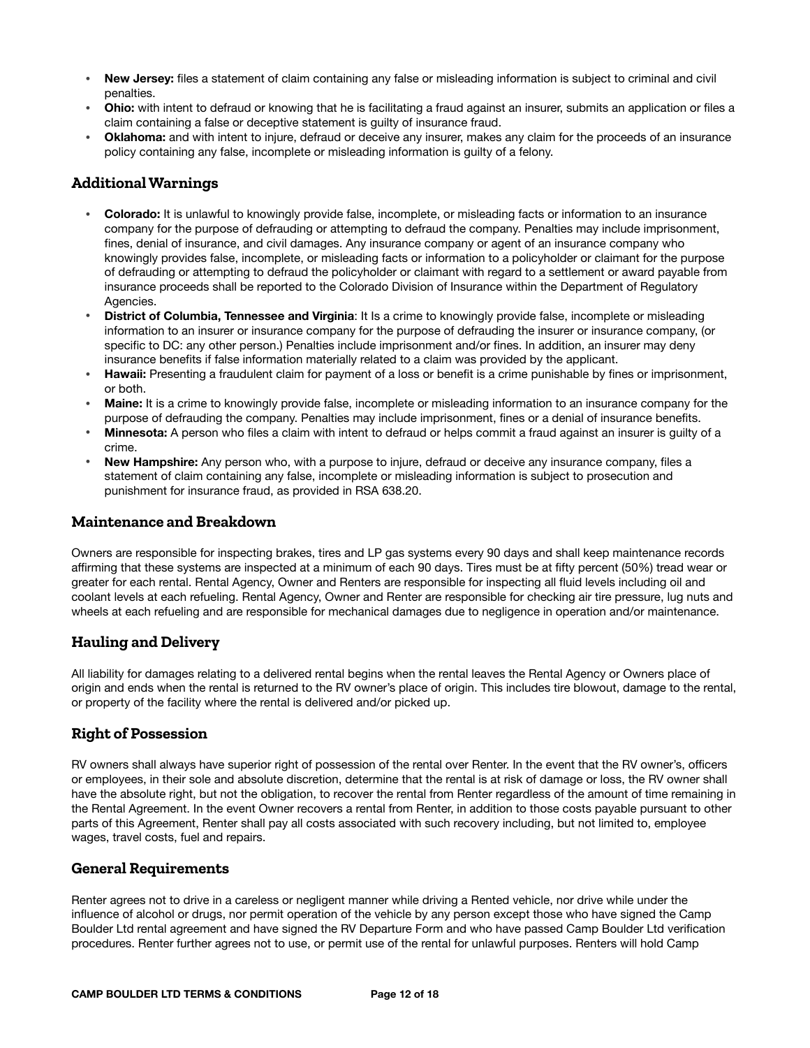- **New Jersey:** files a statement of claim containing any false or misleading information is subject to criminal and civil penalties.
- **Ohio:** with intent to defraud or knowing that he is facilitating a fraud against an insurer, submits an application or files a claim containing a false or deceptive statement is guilty of insurance fraud.
- **Oklahoma:** and with intent to injure, defraud or deceive any insurer, makes any claim for the proceeds of an insurance policy containing any false, incomplete or misleading information is guilty of a felony.

## **Additional Warnings**

- **Colorado:** It is unlawful to knowingly provide false, incomplete, or misleading facts or information to an insurance company for the purpose of defrauding or attempting to defraud the company. Penalties may include imprisonment, fines, denial of insurance, and civil damages. Any insurance company or agent of an insurance company who knowingly provides false, incomplete, or misleading facts or information to a policyholder or claimant for the purpose of defrauding or attempting to defraud the policyholder or claimant with regard to a settlement or award payable from insurance proceeds shall be reported to the Colorado Division of Insurance within the Department of Regulatory Agencies.
- **District of Columbia, Tennessee and Virginia**: It Is a crime to knowingly provide false, incomplete or misleading information to an insurer or insurance company for the purpose of defrauding the insurer or insurance company, (or specific to DC: any other person.) Penalties include imprisonment and/or fines. In addition, an insurer may deny insurance benefits if false information materially related to a claim was provided by the applicant.
- **Hawaii:** Presenting a fraudulent claim for payment of a loss or benefit is a crime punishable by fines or imprisonment, or both.
- **Maine:** It is a crime to knowingly provide false, incomplete or misleading information to an insurance company for the purpose of defrauding the company. Penalties may include imprisonment, fines or a denial of insurance benefits.
- **Minnesota:** A person who files a claim with intent to defraud or helps commit a fraud against an insurer is guilty of a crime.
- **New Hampshire:** Any person who, with a purpose to injure, defraud or deceive any insurance company, files a statement of claim containing any false, incomplete or misleading information is subject to prosecution and punishment for insurance fraud, as provided in RSA 638.20.

#### **Maintenance and Breakdown**

Owners are responsible for inspecting brakes, tires and LP gas systems every 90 days and shall keep maintenance records affirming that these systems are inspected at a minimum of each 90 days. Tires must be at fifty percent (50%) tread wear or greater for each rental. Rental Agency, Owner and Renters are responsible for inspecting all fluid levels including oil and coolant levels at each refueling. Rental Agency, Owner and Renter are responsible for checking air tire pressure, lug nuts and wheels at each refueling and are responsible for mechanical damages due to negligence in operation and/or maintenance.

## **Hauling and Delivery**

All liability for damages relating to a delivered rental begins when the rental leaves the Rental Agency or Owners place of origin and ends when the rental is returned to the RV owner's place of origin. This includes tire blowout, damage to the rental, or property of the facility where the rental is delivered and/or picked up.

## **Right of Possession**

RV owners shall always have superior right of possession of the rental over Renter. In the event that the RV owner's, officers or employees, in their sole and absolute discretion, determine that the rental is at risk of damage or loss, the RV owner shall have the absolute right, but not the obligation, to recover the rental from Renter regardless of the amount of time remaining in the Rental Agreement. In the event Owner recovers a rental from Renter, in addition to those costs payable pursuant to other parts of this Agreement, Renter shall pay all costs associated with such recovery including, but not limited to, employee wages, travel costs, fuel and repairs.

#### **General Requirements**

Renter agrees not to drive in a careless or negligent manner while driving a Rented vehicle, nor drive while under the influence of alcohol or drugs, nor permit operation of the vehicle by any person except those who have signed the Camp Boulder Ltd rental agreement and have signed the RV Departure Form and who have passed Camp Boulder Ltd verification procedures. Renter further agrees not to use, or permit use of the rental for unlawful purposes. Renters will hold Camp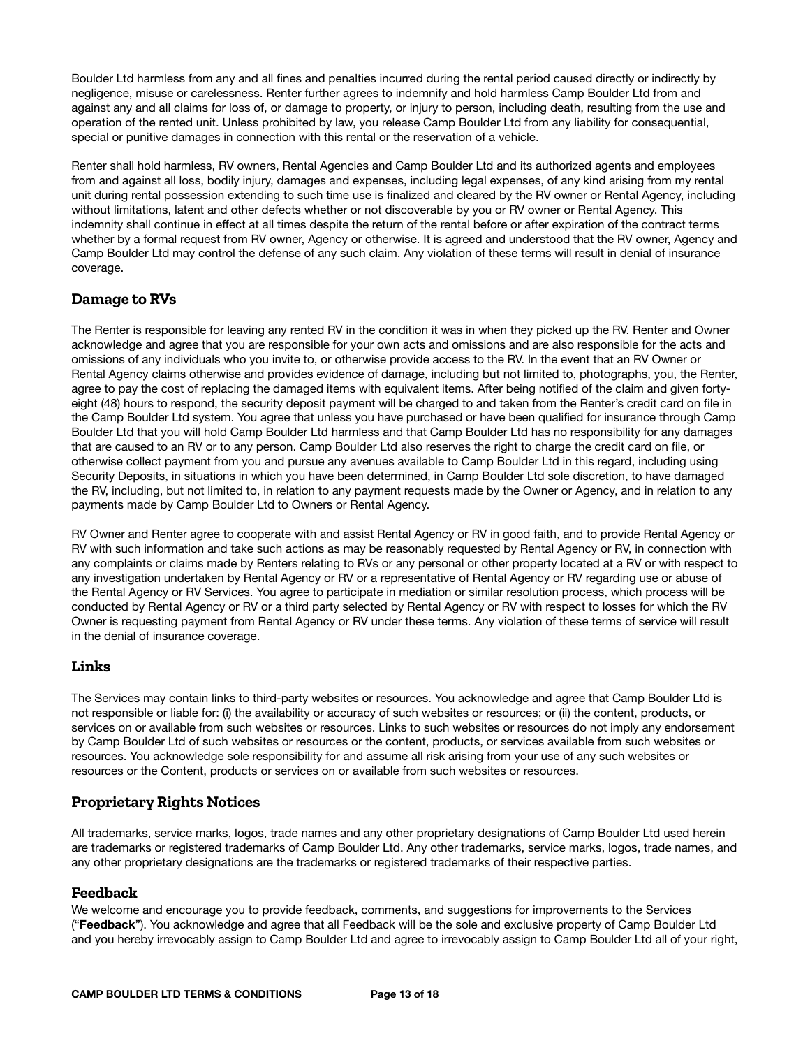Boulder Ltd harmless from any and all fines and penalties incurred during the rental period caused directly or indirectly by negligence, misuse or carelessness. Renter further agrees to indemnify and hold harmless Camp Boulder Ltd from and against any and all claims for loss of, or damage to property, or injury to person, including death, resulting from the use and operation of the rented unit. Unless prohibited by law, you release Camp Boulder Ltd from any liability for consequential, special or punitive damages in connection with this rental or the reservation of a vehicle.

Renter shall hold harmless, RV owners, Rental Agencies and Camp Boulder Ltd and its authorized agents and employees from and against all loss, bodily injury, damages and expenses, including legal expenses, of any kind arising from my rental unit during rental possession extending to such time use is finalized and cleared by the RV owner or Rental Agency, including without limitations, latent and other defects whether or not discoverable by you or RV owner or Rental Agency. This indemnity shall continue in effect at all times despite the return of the rental before or after expiration of the contract terms whether by a formal request from RV owner, Agency or otherwise. It is agreed and understood that the RV owner, Agency and Camp Boulder Ltd may control the defense of any such claim. Any violation of these terms will result in denial of insurance coverage.

# **Damage to RVs**

The Renter is responsible for leaving any rented RV in the condition it was in when they picked up the RV. Renter and Owner acknowledge and agree that you are responsible for your own acts and omissions and are also responsible for the acts and omissions of any individuals who you invite to, or otherwise provide access to the RV. In the event that an RV Owner or Rental Agency claims otherwise and provides evidence of damage, including but not limited to, photographs, you, the Renter, agree to pay the cost of replacing the damaged items with equivalent items. After being notified of the claim and given fortyeight (48) hours to respond, the security deposit payment will be charged to and taken from the Renter's credit card on file in the Camp Boulder Ltd system. You agree that unless you have purchased or have been qualified for insurance through Camp Boulder Ltd that you will hold Camp Boulder Ltd harmless and that Camp Boulder Ltd has no responsibility for any damages that are caused to an RV or to any person. Camp Boulder Ltd also reserves the right to charge the credit card on file, or otherwise collect payment from you and pursue any avenues available to Camp Boulder Ltd in this regard, including using Security Deposits, in situations in which you have been determined, in Camp Boulder Ltd sole discretion, to have damaged the RV, including, but not limited to, in relation to any payment requests made by the Owner or Agency, and in relation to any payments made by Camp Boulder Ltd to Owners or Rental Agency.

RV Owner and Renter agree to cooperate with and assist Rental Agency or RV in good faith, and to provide Rental Agency or RV with such information and take such actions as may be reasonably requested by Rental Agency or RV, in connection with any complaints or claims made by Renters relating to RVs or any personal or other property located at a RV or with respect to any investigation undertaken by Rental Agency or RV or a representative of Rental Agency or RV regarding use or abuse of the Rental Agency or RV Services. You agree to participate in mediation or similar resolution process, which process will be conducted by Rental Agency or RV or a third party selected by Rental Agency or RV with respect to losses for which the RV Owner is requesting payment from Rental Agency or RV under these terms. Any violation of these terms of service will result in the denial of insurance coverage.

# **Links**

The Services may contain links to third-party websites or resources. You acknowledge and agree that Camp Boulder Ltd is not responsible or liable for: (i) the availability or accuracy of such websites or resources; or (ii) the content, products, or services on or available from such websites or resources. Links to such websites or resources do not imply any endorsement by Camp Boulder Ltd of such websites or resources or the content, products, or services available from such websites or resources. You acknowledge sole responsibility for and assume all risk arising from your use of any such websites or resources or the Content, products or services on or available from such websites or resources.

# **Proprietary Rights Notices**

All trademarks, service marks, logos, trade names and any other proprietary designations of Camp Boulder Ltd used herein are trademarks or registered trademarks of Camp Boulder Ltd. Any other trademarks, service marks, logos, trade names, and any other proprietary designations are the trademarks or registered trademarks of their respective parties.

## **Feedback**

We welcome and encourage you to provide feedback, comments, and suggestions for improvements to the Services ("**Feedback**"). You acknowledge and agree that all Feedback will be the sole and exclusive property of Camp Boulder Ltd and you hereby irrevocably assign to Camp Boulder Ltd and agree to irrevocably assign to Camp Boulder Ltd all of your right,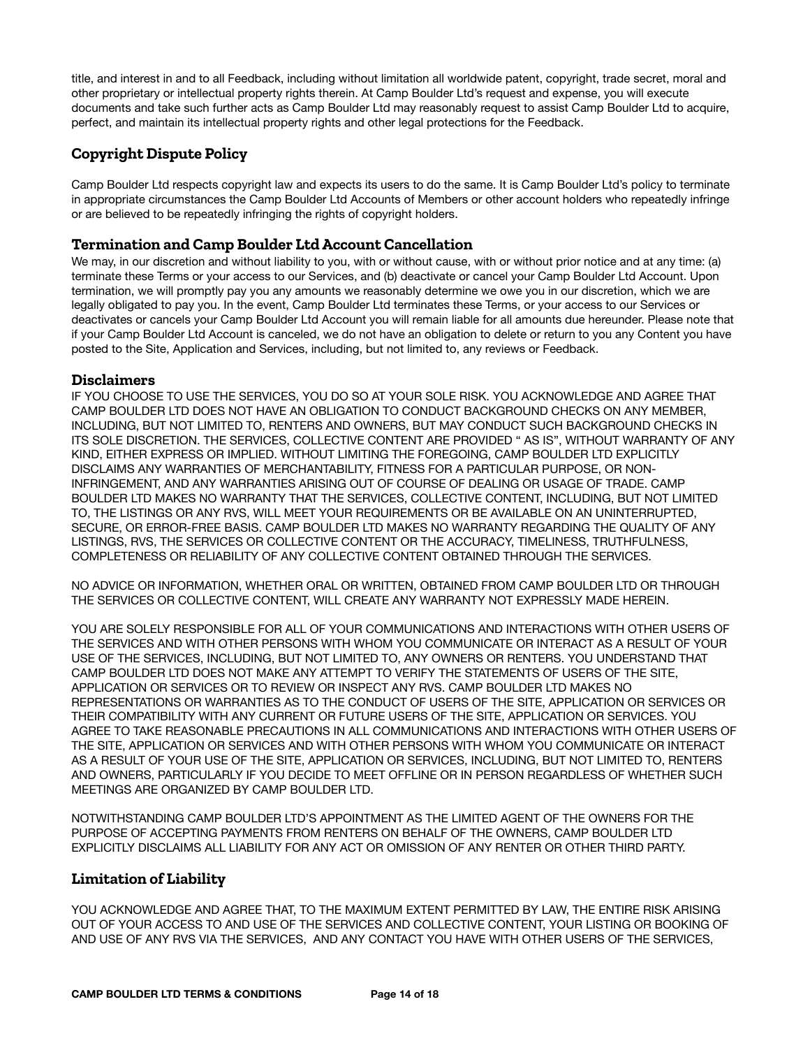title, and interest in and to all Feedback, including without limitation all worldwide patent, copyright, trade secret, moral and other proprietary or intellectual property rights therein. At Camp Boulder Ltd's request and expense, you will execute documents and take such further acts as Camp Boulder Ltd may reasonably request to assist Camp Boulder Ltd to acquire, perfect, and maintain its intellectual property rights and other legal protections for the Feedback.

# **Copyright Dispute Policy**

Camp Boulder Ltd respects copyright law and expects its users to do the same. It is Camp Boulder Ltd's policy to terminate in appropriate circumstances the Camp Boulder Ltd Accounts of Members or other account holders who repeatedly infringe or are believed to be repeatedly infringing the rights of copyright holders.

## **Termination and Camp Boulder Ltd Account Cancellation**

We may, in our discretion and without liability to you, with or without cause, with or without prior notice and at any time: (a) terminate these Terms or your access to our Services, and (b) deactivate or cancel your Camp Boulder Ltd Account. Upon termination, we will promptly pay you any amounts we reasonably determine we owe you in our discretion, which we are legally obligated to pay you. In the event, Camp Boulder Ltd terminates these Terms, or your access to our Services or deactivates or cancels your Camp Boulder Ltd Account you will remain liable for all amounts due hereunder. Please note that if your Camp Boulder Ltd Account is canceled, we do not have an obligation to delete or return to you any Content you have posted to the Site, Application and Services, including, but not limited to, any reviews or Feedback.

## **Disclaimers**

IF YOU CHOOSE TO USE THE SERVICES, YOU DO SO AT YOUR SOLE RISK. YOU ACKNOWLEDGE AND AGREE THAT CAMP BOULDER LTD DOES NOT HAVE AN OBLIGATION TO CONDUCT BACKGROUND CHECKS ON ANY MEMBER, INCLUDING, BUT NOT LIMITED TO, RENTERS AND OWNERS, BUT MAY CONDUCT SUCH BACKGROUND CHECKS IN ITS SOLE DISCRETION. THE SERVICES, COLLECTIVE CONTENT ARE PROVIDED " AS IS", WITHOUT WARRANTY OF ANY KIND, EITHER EXPRESS OR IMPLIED. WITHOUT LIMITING THE FOREGOING, CAMP BOULDER LTD EXPLICITLY DISCLAIMS ANY WARRANTIES OF MERCHANTABILITY, FITNESS FOR A PARTICULAR PURPOSE, OR NON-INFRINGEMENT, AND ANY WARRANTIES ARISING OUT OF COURSE OF DEALING OR USAGE OF TRADE. CAMP BOULDER LTD MAKES NO WARRANTY THAT THE SERVICES, COLLECTIVE CONTENT, INCLUDING, BUT NOT LIMITED TO, THE LISTINGS OR ANY RVS, WILL MEET YOUR REQUIREMENTS OR BE AVAILABLE ON AN UNINTERRUPTED, SECURE, OR ERROR-FREE BASIS. CAMP BOULDER LTD MAKES NO WARRANTY REGARDING THE QUALITY OF ANY LISTINGS, RVS, THE SERVICES OR COLLECTIVE CONTENT OR THE ACCURACY, TIMELINESS, TRUTHFULNESS, COMPLETENESS OR RELIABILITY OF ANY COLLECTIVE CONTENT OBTAINED THROUGH THE SERVICES.

NO ADVICE OR INFORMATION, WHETHER ORAL OR WRITTEN, OBTAINED FROM CAMP BOULDER LTD OR THROUGH THE SERVICES OR COLLECTIVE CONTENT, WILL CREATE ANY WARRANTY NOT EXPRESSLY MADE HEREIN.

YOU ARE SOLELY RESPONSIBLE FOR ALL OF YOUR COMMUNICATIONS AND INTERACTIONS WITH OTHER USERS OF THE SERVICES AND WITH OTHER PERSONS WITH WHOM YOU COMMUNICATE OR INTERACT AS A RESULT OF YOUR USE OF THE SERVICES, INCLUDING, BUT NOT LIMITED TO, ANY OWNERS OR RENTERS. YOU UNDERSTAND THAT CAMP BOULDER LTD DOES NOT MAKE ANY ATTEMPT TO VERIFY THE STATEMENTS OF USERS OF THE SITE, APPLICATION OR SERVICES OR TO REVIEW OR INSPECT ANY RVS. CAMP BOULDER LTD MAKES NO REPRESENTATIONS OR WARRANTIES AS TO THE CONDUCT OF USERS OF THE SITE, APPLICATION OR SERVICES OR THEIR COMPATIBILITY WITH ANY CURRENT OR FUTURE USERS OF THE SITE, APPLICATION OR SERVICES. YOU AGREE TO TAKE REASONABLE PRECAUTIONS IN ALL COMMUNICATIONS AND INTERACTIONS WITH OTHER USERS OF THE SITE, APPLICATION OR SERVICES AND WITH OTHER PERSONS WITH WHOM YOU COMMUNICATE OR INTERACT AS A RESULT OF YOUR USE OF THE SITE, APPLICATION OR SERVICES, INCLUDING, BUT NOT LIMITED TO, RENTERS AND OWNERS, PARTICULARLY IF YOU DECIDE TO MEET OFFLINE OR IN PERSON REGARDLESS OF WHETHER SUCH MEETINGS ARE ORGANIZED BY CAMP BOULDER LTD.

NOTWITHSTANDING CAMP BOULDER LTD'S APPOINTMENT AS THE LIMITED AGENT OF THE OWNERS FOR THE PURPOSE OF ACCEPTING PAYMENTS FROM RENTERS ON BEHALF OF THE OWNERS, CAMP BOULDER LTD EXPLICITLY DISCLAIMS ALL LIABILITY FOR ANY ACT OR OMISSION OF ANY RENTER OR OTHER THIRD PARTY.

## **Limitation of Liability**

YOU ACKNOWLEDGE AND AGREE THAT, TO THE MAXIMUM EXTENT PERMITTED BY LAW, THE ENTIRE RISK ARISING OUT OF YOUR ACCESS TO AND USE OF THE SERVICES AND COLLECTIVE CONTENT, YOUR LISTING OR BOOKING OF AND USE OF ANY RVS VIA THE SERVICES, AND ANY CONTACT YOU HAVE WITH OTHER USERS OF THE SERVICES,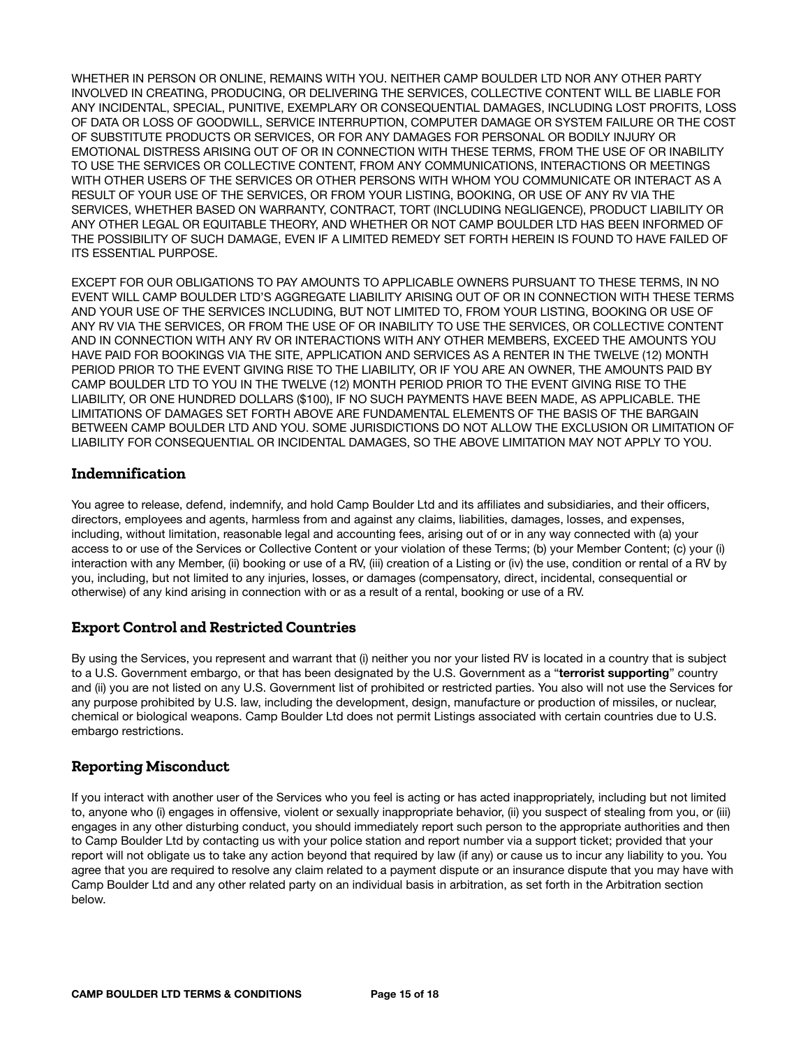WHETHER IN PERSON OR ONLINE, REMAINS WITH YOU. NEITHER CAMP BOULDER LTD NOR ANY OTHER PARTY INVOLVED IN CREATING, PRODUCING, OR DELIVERING THE SERVICES, COLLECTIVE CONTENT WILL BE LIABLE FOR ANY INCIDENTAL, SPECIAL, PUNITIVE, EXEMPLARY OR CONSEQUENTIAL DAMAGES, INCLUDING LOST PROFITS, LOSS OF DATA OR LOSS OF GOODWILL, SERVICE INTERRUPTION, COMPUTER DAMAGE OR SYSTEM FAILURE OR THE COST OF SUBSTITUTE PRODUCTS OR SERVICES, OR FOR ANY DAMAGES FOR PERSONAL OR BODILY INJURY OR EMOTIONAL DISTRESS ARISING OUT OF OR IN CONNECTION WITH THESE TERMS, FROM THE USE OF OR INABILITY TO USE THE SERVICES OR COLLECTIVE CONTENT, FROM ANY COMMUNICATIONS, INTERACTIONS OR MEETINGS WITH OTHER USERS OF THE SERVICES OR OTHER PERSONS WITH WHOM YOU COMMUNICATE OR INTERACT AS A RESULT OF YOUR USE OF THE SERVICES, OR FROM YOUR LISTING, BOOKING, OR USE OF ANY RV VIA THE SERVICES, WHETHER BASED ON WARRANTY, CONTRACT, TORT (INCLUDING NEGLIGENCE), PRODUCT LIABILITY OR ANY OTHER LEGAL OR EQUITABLE THEORY, AND WHETHER OR NOT CAMP BOULDER LTD HAS BEEN INFORMED OF THE POSSIBILITY OF SUCH DAMAGE, EVEN IF A LIMITED REMEDY SET FORTH HEREIN IS FOUND TO HAVE FAILED OF ITS ESSENTIAL PURPOSE.

EXCEPT FOR OUR OBLIGATIONS TO PAY AMOUNTS TO APPLICABLE OWNERS PURSUANT TO THESE TERMS, IN NO EVENT WILL CAMP BOULDER LTD'S AGGREGATE LIABILITY ARISING OUT OF OR IN CONNECTION WITH THESE TERMS AND YOUR USE OF THE SERVICES INCLUDING, BUT NOT LIMITED TO, FROM YOUR LISTING, BOOKING OR USE OF ANY RV VIA THE SERVICES, OR FROM THE USE OF OR INABILITY TO USE THE SERVICES, OR COLLECTIVE CONTENT AND IN CONNECTION WITH ANY RV OR INTERACTIONS WITH ANY OTHER MEMBERS, EXCEED THE AMOUNTS YOU HAVE PAID FOR BOOKINGS VIA THE SITE, APPLICATION AND SERVICES AS A RENTER IN THE TWELVE (12) MONTH PERIOD PRIOR TO THE EVENT GIVING RISE TO THE LIABILITY, OR IF YOU ARE AN OWNER, THE AMOUNTS PAID BY CAMP BOULDER LTD TO YOU IN THE TWELVE (12) MONTH PERIOD PRIOR TO THE EVENT GIVING RISE TO THE LIABILITY, OR ONE HUNDRED DOLLARS (\$100), IF NO SUCH PAYMENTS HAVE BEEN MADE, AS APPLICABLE. THE LIMITATIONS OF DAMAGES SET FORTH ABOVE ARE FUNDAMENTAL ELEMENTS OF THE BASIS OF THE BARGAIN BETWEEN CAMP BOULDER LTD AND YOU. SOME JURISDICTIONS DO NOT ALLOW THE EXCLUSION OR LIMITATION OF LIABILITY FOR CONSEQUENTIAL OR INCIDENTAL DAMAGES, SO THE ABOVE LIMITATION MAY NOT APPLY TO YOU.

## **Indemnification**

You agree to release, defend, indemnify, and hold Camp Boulder Ltd and its affiliates and subsidiaries, and their officers, directors, employees and agents, harmless from and against any claims, liabilities, damages, losses, and expenses, including, without limitation, reasonable legal and accounting fees, arising out of or in any way connected with (a) your access to or use of the Services or Collective Content or your violation of these Terms; (b) your Member Content; (c) your (i) interaction with any Member, (ii) booking or use of a RV, (iii) creation of a Listing or (iv) the use, condition or rental of a RV by you, including, but not limited to any injuries, losses, or damages (compensatory, direct, incidental, consequential or otherwise) of any kind arising in connection with or as a result of a rental, booking or use of a RV.

# **Export Control and Restricted Countries**

By using the Services, you represent and warrant that (i) neither you nor your listed RV is located in a country that is subject to a U.S. Government embargo, or that has been designated by the U.S. Government as a "**terrorist supporting**" country and (ii) you are not listed on any U.S. Government list of prohibited or restricted parties. You also will not use the Services for any purpose prohibited by U.S. law, including the development, design, manufacture or production of missiles, or nuclear, chemical or biological weapons. Camp Boulder Ltd does not permit Listings associated with certain countries due to U.S. embargo restrictions.

# **Reporting Misconduct**

If you interact with another user of the Services who you feel is acting or has acted inappropriately, including but not limited to, anyone who (i) engages in offensive, violent or sexually inappropriate behavior, (ii) you suspect of stealing from you, or (iii) engages in any other disturbing conduct, you should immediately report such person to the appropriate authorities and then to Camp Boulder Ltd by contacting us with your police station and report number via a support ticket; provided that your report will not obligate us to take any action beyond that required by law (if any) or cause us to incur any liability to you. You agree that you are required to resolve any claim related to a payment dispute or an insurance dispute that you may have with Camp Boulder Ltd and any other related party on an individual basis in arbitration, as set forth in the Arbitration section below.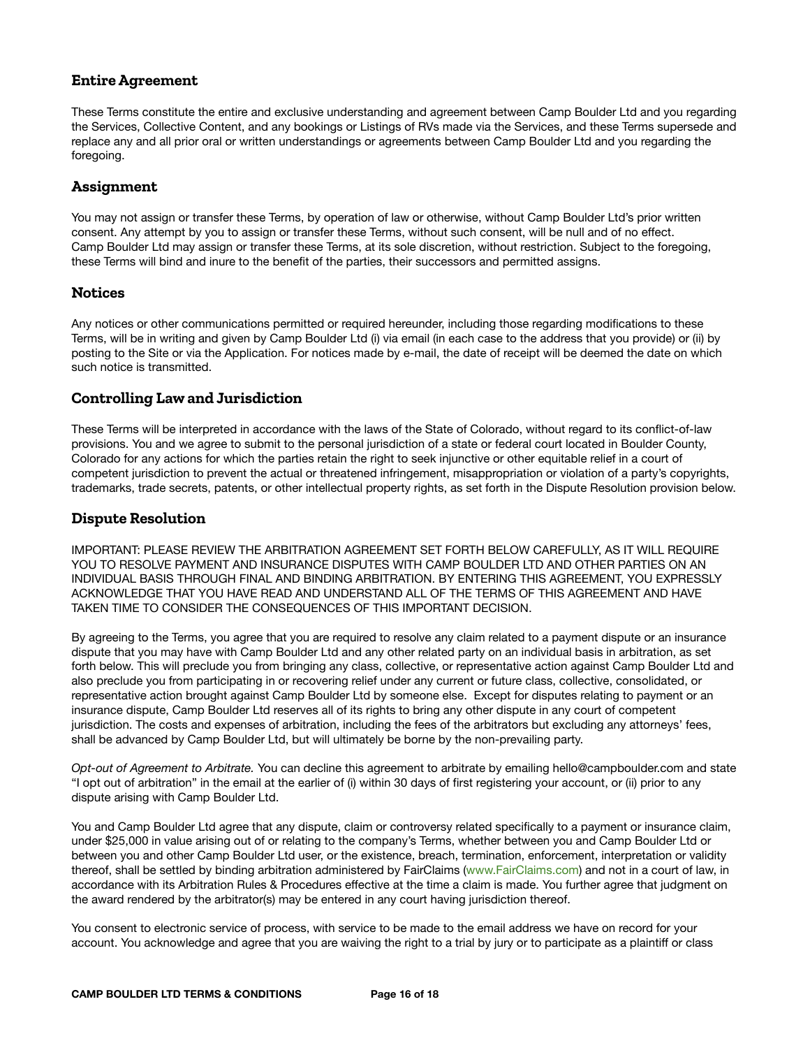## **Entire Agreement**

These Terms constitute the entire and exclusive understanding and agreement between Camp Boulder Ltd and you regarding the Services, Collective Content, and any bookings or Listings of RVs made via the Services, and these Terms supersede and replace any and all prior oral or written understandings or agreements between Camp Boulder Ltd and you regarding the foregoing.

## **Assignment**

You may not assign or transfer these Terms, by operation of law or otherwise, without Camp Boulder Ltd's prior written consent. Any attempt by you to assign or transfer these Terms, without such consent, will be null and of no effect. Camp Boulder Ltd may assign or transfer these Terms, at its sole discretion, without restriction. Subject to the foregoing, these Terms will bind and inure to the benefit of the parties, their successors and permitted assigns.

## **Notices**

Any notices or other communications permitted or required hereunder, including those regarding modifications to these Terms, will be in writing and given by Camp Boulder Ltd (i) via email (in each case to the address that you provide) or (ii) by posting to the Site or via the Application. For notices made by e-mail, the date of receipt will be deemed the date on which such notice is transmitted.

# **Controlling Law and Jurisdiction**

These Terms will be interpreted in accordance with the laws of the State of Colorado, without regard to its conflict-of-law provisions. You and we agree to submit to the personal jurisdiction of a state or federal court located in Boulder County, Colorado for any actions for which the parties retain the right to seek injunctive or other equitable relief in a court of competent jurisdiction to prevent the actual or threatened infringement, misappropriation or violation of a party's copyrights, trademarks, trade secrets, patents, or other intellectual property rights, as set forth in the Dispute Resolution provision below.

## **Dispute Resolution**

IMPORTANT: PLEASE REVIEW THE ARBITRATION AGREEMENT SET FORTH BELOW CAREFULLY, AS IT WILL REQUIRE YOU TO RESOLVE PAYMENT AND INSURANCE DISPUTES WITH CAMP BOULDER LTD AND OTHER PARTIES ON AN INDIVIDUAL BASIS THROUGH FINAL AND BINDING ARBITRATION. BY ENTERING THIS AGREEMENT, YOU EXPRESSLY ACKNOWLEDGE THAT YOU HAVE READ AND UNDERSTAND ALL OF THE TERMS OF THIS AGREEMENT AND HAVE TAKEN TIME TO CONSIDER THE CONSEQUENCES OF THIS IMPORTANT DECISION.

By agreeing to the Terms, you agree that you are required to resolve any claim related to a payment dispute or an insurance dispute that you may have with Camp Boulder Ltd and any other related party on an individual basis in arbitration, as set forth below. This will preclude you from bringing any class, collective, or representative action against Camp Boulder Ltd and also preclude you from participating in or recovering relief under any current or future class, collective, consolidated, or representative action brought against Camp Boulder Ltd by someone else. Except for disputes relating to payment or an insurance dispute, Camp Boulder Ltd reserves all of its rights to bring any other dispute in any court of competent jurisdiction. The costs and expenses of arbitration, including the fees of the arbitrators but excluding any attorneys' fees, shall be advanced by Camp Boulder Ltd, but will ultimately be borne by the non-prevailing party.

*Opt-out of Agreement to Arbitrate.* You can decline this agreement to arbitrate by emailing hello@campboulder.com and state "I opt out of arbitration" in the email at the earlier of (i) within 30 days of first registering your account, or (ii) prior to any dispute arising with Camp Boulder Ltd.

You and Camp Boulder Ltd agree that any dispute, claim or controversy related specifically to a payment or insurance claim, under \$25,000 in value arising out of or relating to the company's Terms, whether between you and Camp Boulder Ltd or between you and other Camp Boulder Ltd user, or the existence, breach, termination, enforcement, interpretation or validity thereof, shall be settled by binding arbitration administered by FairClaims ([www.FairClaims.com\)](http://www.fairclaims.com/) and not in a court of law, in accordance with its Arbitration Rules & Procedures effective at the time a claim is made. You further agree that judgment on the award rendered by the arbitrator(s) may be entered in any court having jurisdiction thereof.

You consent to electronic service of process, with service to be made to the email address we have on record for your account. You acknowledge and agree that you are waiving the right to a trial by jury or to participate as a plaintiff or class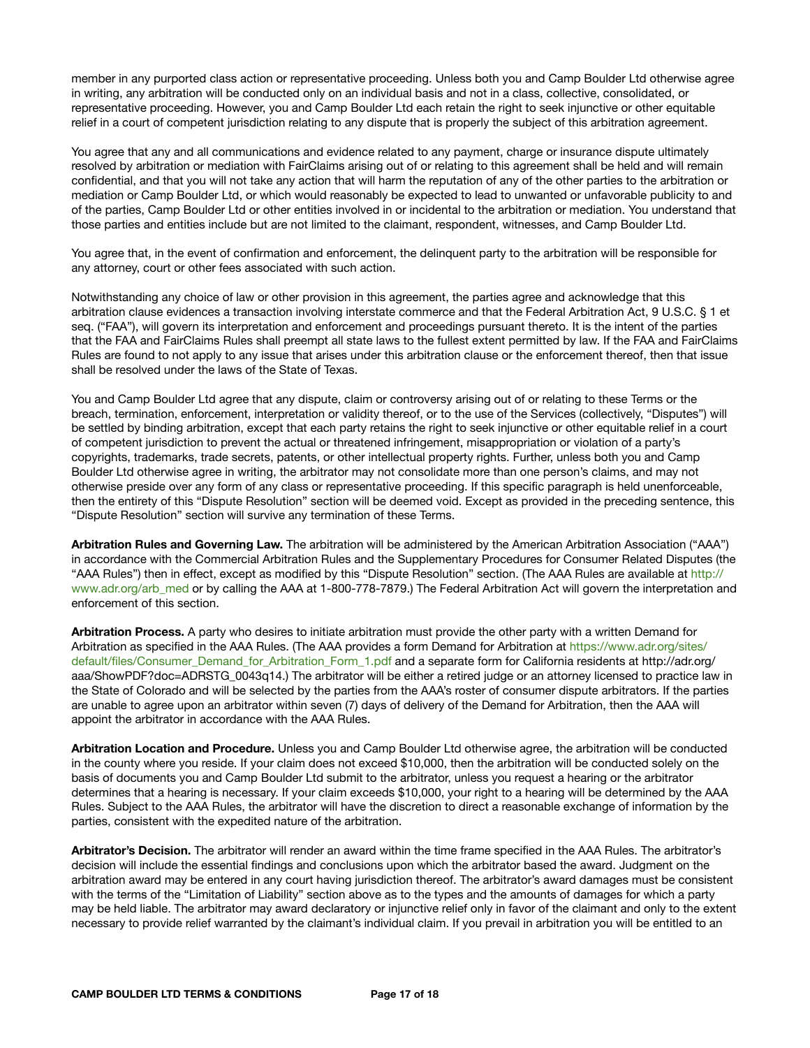member in any purported class action or representative proceeding. Unless both you and Camp Boulder Ltd otherwise agree in writing, any arbitration will be conducted only on an individual basis and not in a class, collective, consolidated, or representative proceeding. However, you and Camp Boulder Ltd each retain the right to seek injunctive or other equitable relief in a court of competent jurisdiction relating to any dispute that is properly the subject of this arbitration agreement.

You agree that any and all communications and evidence related to any payment, charge or insurance dispute ultimately resolved by arbitration or mediation with FairClaims arising out of or relating to this agreement shall be held and will remain confidential, and that you will not take any action that will harm the reputation of any of the other parties to the arbitration or mediation or Camp Boulder Ltd, or which would reasonably be expected to lead to unwanted or unfavorable publicity to and of the parties, Camp Boulder Ltd or other entities involved in or incidental to the arbitration or mediation. You understand that those parties and entities include but are not limited to the claimant, respondent, witnesses, and Camp Boulder Ltd.

You agree that, in the event of confirmation and enforcement, the delinquent party to the arbitration will be responsible for any attorney, court or other fees associated with such action.

Notwithstanding any choice of law or other provision in this agreement, the parties agree and acknowledge that this arbitration clause evidences a transaction involving interstate commerce and that the Federal Arbitration Act, 9 U.S.C. § 1 et seq. ("FAA"), will govern its interpretation and enforcement and proceedings pursuant thereto. It is the intent of the parties that the FAA and FairClaims Rules shall preempt all state laws to the fullest extent permitted by law. If the FAA and FairClaims Rules are found to not apply to any issue that arises under this arbitration clause or the enforcement thereof, then that issue shall be resolved under the laws of the State of Texas.

You and Camp Boulder Ltd agree that any dispute, claim or controversy arising out of or relating to these Terms or the breach, termination, enforcement, interpretation or validity thereof, or to the use of the Services (collectively, "Disputes") will be settled by binding arbitration, except that each party retains the right to seek injunctive or other equitable relief in a court of competent jurisdiction to prevent the actual or threatened infringement, misappropriation or violation of a party's copyrights, trademarks, trade secrets, patents, or other intellectual property rights. Further, unless both you and Camp Boulder Ltd otherwise agree in writing, the arbitrator may not consolidate more than one person's claims, and may not otherwise preside over any form of any class or representative proceeding. If this specific paragraph is held unenforceable, then the entirety of this "Dispute Resolution" section will be deemed void. Except as provided in the preceding sentence, this "Dispute Resolution" section will survive any termination of these Terms.

**Arbitration Rules and Governing Law.** The arbitration will be administered by the American Arbitration Association ("AAA") in accordance with the Commercial Arbitration Rules and the Supplementary Procedures for Consumer Related Disputes (the "AAA Rules") then in effect, except as modified by this "Dispute Resolution" section. (The AAA Rules are available at [http://](https://www.adr.org/Rules) [www.adr.org/arb\\_med](https://www.adr.org/Rules) or by calling the AAA at 1-800-778-7879.) The Federal Arbitration Act will govern the interpretation and enforcement of this section.

**Arbitration Process.** A party who desires to initiate arbitration must provide the other party with a written Demand for Arbitration as specified in the AAA Rules. (The AAA provides a form Demand for Arbitration at [https://www.adr.org/sites/](https://www.adr.org/sites/default/files/Consumer_Demand_for_Arbitration_Form_1.pdf) [default/files/Consumer\\_Demand\\_for\\_Arbitration\\_Form\\_1.pdf](https://www.adr.org/sites/default/files/Consumer_Demand_for_Arbitration_Form_1.pdf) and a separate form for California residents at http://adr.org/ aaa/ShowPDF?doc=ADRSTG\_0043q14.) The arbitrator will be either a retired judge or an attorney licensed to practice law in the State of Colorado and will be selected by the parties from the AAA's roster of consumer dispute arbitrators. If the parties are unable to agree upon an arbitrator within seven (7) days of delivery of the Demand for Arbitration, then the AAA will appoint the arbitrator in accordance with the AAA Rules.

**Arbitration Location and Procedure.** Unless you and Camp Boulder Ltd otherwise agree, the arbitration will be conducted in the county where you reside. If your claim does not exceed \$10,000, then the arbitration will be conducted solely on the basis of documents you and Camp Boulder Ltd submit to the arbitrator, unless you request a hearing or the arbitrator determines that a hearing is necessary. If your claim exceeds \$10,000, your right to a hearing will be determined by the AAA Rules. Subject to the AAA Rules, the arbitrator will have the discretion to direct a reasonable exchange of information by the parties, consistent with the expedited nature of the arbitration.

**Arbitrator's Decision.** The arbitrator will render an award within the time frame specified in the AAA Rules. The arbitrator's decision will include the essential findings and conclusions upon which the arbitrator based the award. Judgment on the arbitration award may be entered in any court having jurisdiction thereof. The arbitrator's award damages must be consistent with the terms of the "Limitation of Liability" section above as to the types and the amounts of damages for which a party may be held liable. The arbitrator may award declaratory or injunctive relief only in favor of the claimant and only to the extent necessary to provide relief warranted by the claimant's individual claim. If you prevail in arbitration you will be entitled to an